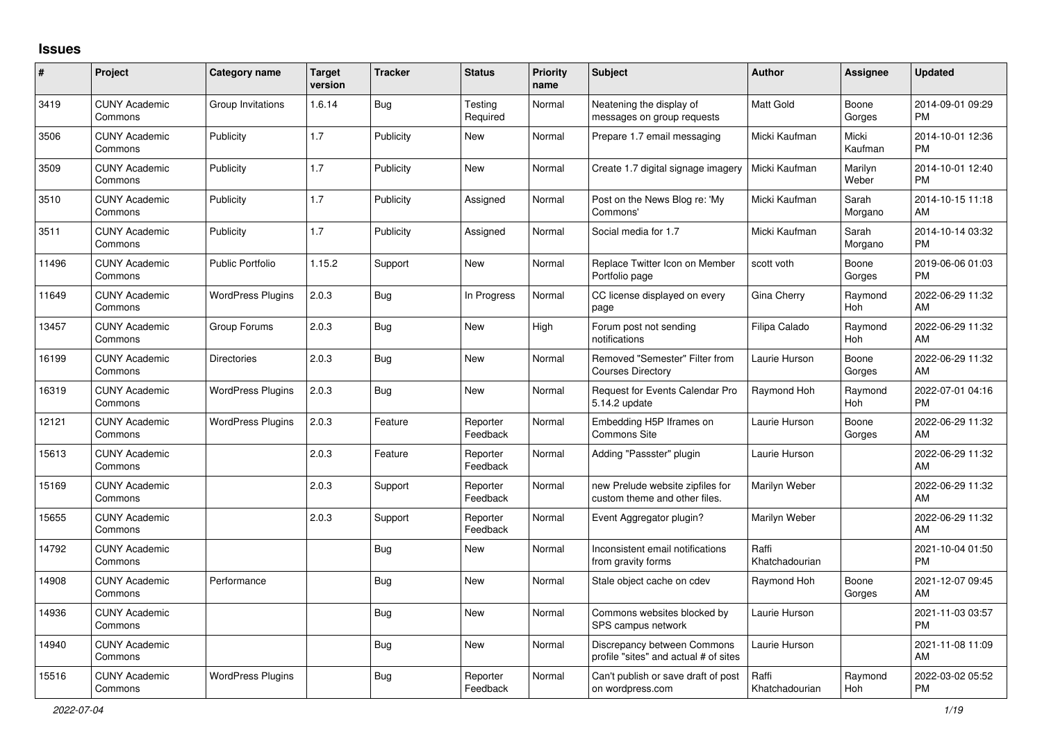## **Issues**

| $\vert$ # | Project                         | <b>Category name</b>     | <b>Target</b><br>version | <b>Tracker</b> | <b>Status</b>        | <b>Priority</b><br>name | <b>Subject</b>                                                       | <b>Author</b>           | <b>Assignee</b>  | <b>Updated</b>                |
|-----------|---------------------------------|--------------------------|--------------------------|----------------|----------------------|-------------------------|----------------------------------------------------------------------|-------------------------|------------------|-------------------------------|
| 3419      | <b>CUNY Academic</b><br>Commons | Group Invitations        | 1.6.14                   | Bug            | Testing<br>Required  | Normal                  | Neatening the display of<br>messages on group requests               | <b>Matt Gold</b>        | Boone<br>Gorges  | 2014-09-01 09:29<br><b>PM</b> |
| 3506      | <b>CUNY Academic</b><br>Commons | Publicity                | 1.7                      | Publicity      | New                  | Normal                  | Prepare 1.7 email messaging                                          | Micki Kaufman           | Micki<br>Kaufman | 2014-10-01 12:36<br><b>PM</b> |
| 3509      | <b>CUNY Academic</b><br>Commons | Publicity                | 1.7                      | Publicity      | New                  | Normal                  | Create 1.7 digital signage imagery                                   | Micki Kaufman           | Marilyn<br>Weber | 2014-10-01 12:40<br><b>PM</b> |
| 3510      | <b>CUNY Academic</b><br>Commons | Publicity                | 1.7                      | Publicity      | Assigned             | Normal                  | Post on the News Blog re: 'My<br>Commons'                            | Micki Kaufman           | Sarah<br>Morgano | 2014-10-15 11:18<br>AM        |
| 3511      | <b>CUNY Academic</b><br>Commons | Publicity                | 1.7                      | Publicity      | Assigned             | Normal                  | Social media for 1.7                                                 | Micki Kaufman           | Sarah<br>Morgano | 2014-10-14 03:32<br><b>PM</b> |
| 11496     | <b>CUNY Academic</b><br>Commons | <b>Public Portfolio</b>  | 1.15.2                   | Support        | <b>New</b>           | Normal                  | Replace Twitter Icon on Member<br>Portfolio page                     | scott voth              | Boone<br>Gorges  | 2019-06-06 01:03<br><b>PM</b> |
| 11649     | <b>CUNY Academic</b><br>Commons | <b>WordPress Plugins</b> | 2.0.3                    | Bug            | In Progress          | Normal                  | CC license displayed on every<br>page                                | Gina Cherry             | Raymond<br>Hoh   | 2022-06-29 11:32<br>AM        |
| 13457     | <b>CUNY Academic</b><br>Commons | Group Forums             | 2.0.3                    | Bug            | <b>New</b>           | High                    | Forum post not sending<br>notifications                              | Filipa Calado           | Raymond<br>Hoh   | 2022-06-29 11:32<br>AM        |
| 16199     | <b>CUNY Academic</b><br>Commons | <b>Directories</b>       | 2.0.3                    | <b>Bug</b>     | New                  | Normal                  | Removed "Semester" Filter from<br><b>Courses Directory</b>           | Laurie Hurson           | Boone<br>Gorges  | 2022-06-29 11:32<br>AM        |
| 16319     | <b>CUNY Academic</b><br>Commons | <b>WordPress Plugins</b> | 2.0.3                    | <b>Bug</b>     | <b>New</b>           | Normal                  | Request for Events Calendar Pro<br>5.14.2 update                     | Raymond Hoh             | Raymond<br>Hoh   | 2022-07-01 04:16<br><b>PM</b> |
| 12121     | <b>CUNY Academic</b><br>Commons | <b>WordPress Plugins</b> | 2.0.3                    | Feature        | Reporter<br>Feedback | Normal                  | Embedding H5P Iframes on<br><b>Commons Site</b>                      | Laurie Hurson           | Boone<br>Gorges  | 2022-06-29 11:32<br>AM        |
| 15613     | <b>CUNY Academic</b><br>Commons |                          | 2.0.3                    | Feature        | Reporter<br>Feedback | Normal                  | Adding "Passster" plugin                                             | Laurie Hurson           |                  | 2022-06-29 11:32<br>AM        |
| 15169     | <b>CUNY Academic</b><br>Commons |                          | 2.0.3                    | Support        | Reporter<br>Feedback | Normal                  | new Prelude website zipfiles for<br>custom theme and other files.    | Marilyn Weber           |                  | 2022-06-29 11:32<br>AM        |
| 15655     | <b>CUNY Academic</b><br>Commons |                          | 2.0.3                    | Support        | Reporter<br>Feedback | Normal                  | Event Aggregator plugin?                                             | Marilyn Weber           |                  | 2022-06-29 11:32<br>AM        |
| 14792     | <b>CUNY Academic</b><br>Commons |                          |                          | Bug            | New                  | Normal                  | Inconsistent email notifications<br>from gravity forms               | Raffi<br>Khatchadourian |                  | 2021-10-04 01:50<br><b>PM</b> |
| 14908     | <b>CUNY Academic</b><br>Commons | Performance              |                          | Bug            | <b>New</b>           | Normal                  | Stale object cache on cdev                                           | Raymond Hoh             | Boone<br>Gorges  | 2021-12-07 09:45<br>AM        |
| 14936     | <b>CUNY Academic</b><br>Commons |                          |                          | Bug            | New                  | Normal                  | Commons websites blocked by<br>SPS campus network                    | Laurie Hurson           |                  | 2021-11-03 03:57<br><b>PM</b> |
| 14940     | <b>CUNY Academic</b><br>Commons |                          |                          | Bug            | <b>New</b>           | Normal                  | Discrepancy between Commons<br>profile "sites" and actual # of sites | Laurie Hurson           |                  | 2021-11-08 11:09<br>AM        |
| 15516     | <b>CUNY Academic</b><br>Commons | <b>WordPress Plugins</b> |                          | Bug            | Reporter<br>Feedback | Normal                  | Can't publish or save draft of post<br>on wordpress.com              | Raffi<br>Khatchadourian | Raymond<br>Hoh   | 2022-03-02 05:52<br><b>PM</b> |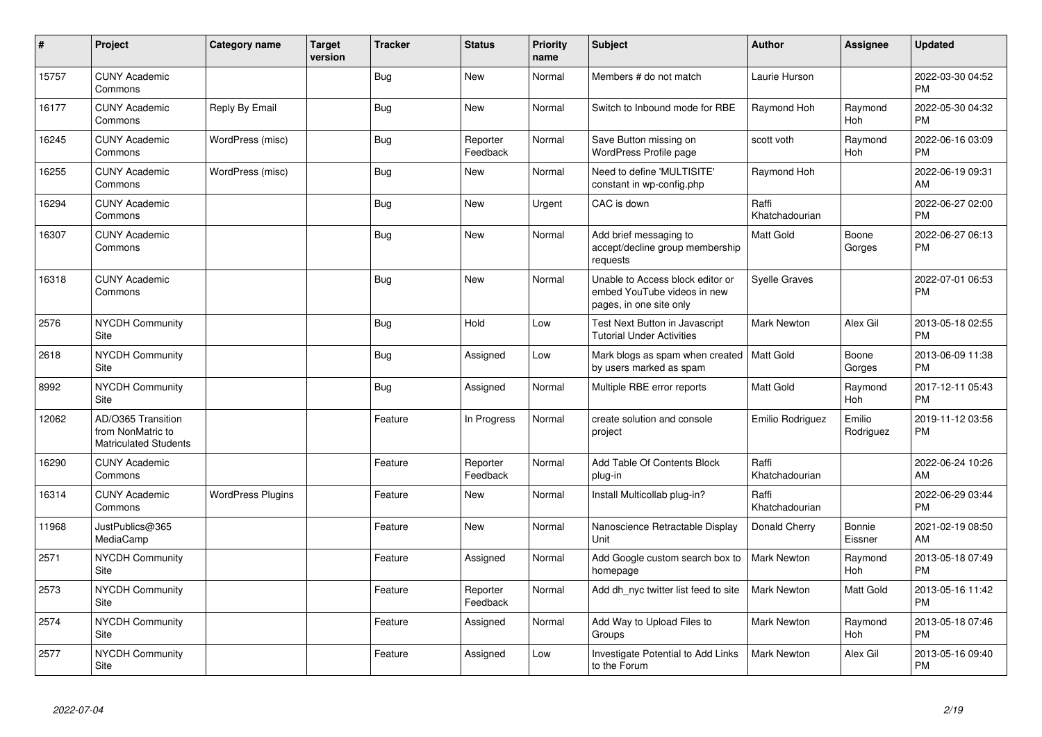| #     | Project                                                                 | <b>Category name</b>     | <b>Target</b><br>version | <b>Tracker</b> | <b>Status</b>        | <b>Priority</b><br>name | <b>Subject</b>                                                                             | <b>Author</b>           | Assignee              | <b>Updated</b>                |
|-------|-------------------------------------------------------------------------|--------------------------|--------------------------|----------------|----------------------|-------------------------|--------------------------------------------------------------------------------------------|-------------------------|-----------------------|-------------------------------|
| 15757 | <b>CUNY Academic</b><br>Commons                                         |                          |                          | <b>Bug</b>     | <b>New</b>           | Normal                  | Members # do not match                                                                     | Laurie Hurson           |                       | 2022-03-30 04:52<br><b>PM</b> |
| 16177 | <b>CUNY Academic</b><br>Commons                                         | Reply By Email           |                          | Bug            | <b>New</b>           | Normal                  | Switch to Inbound mode for RBE                                                             | Raymond Hoh             | Raymond<br><b>Hoh</b> | 2022-05-30 04:32<br><b>PM</b> |
| 16245 | <b>CUNY Academic</b><br>Commons                                         | WordPress (misc)         |                          | Bug            | Reporter<br>Feedback | Normal                  | Save Button missing on<br>WordPress Profile page                                           | scott voth              | Raymond<br>Hoh        | 2022-06-16 03:09<br><b>PM</b> |
| 16255 | <b>CUNY Academic</b><br>Commons                                         | WordPress (misc)         |                          | Bug            | New                  | Normal                  | Need to define 'MULTISITE'<br>constant in wp-config.php                                    | Raymond Hoh             |                       | 2022-06-19 09:31<br>AM        |
| 16294 | <b>CUNY Academic</b><br>Commons                                         |                          |                          | Bug            | <b>New</b>           | Urgent                  | CAC is down                                                                                | Raffi<br>Khatchadourian |                       | 2022-06-27 02:00<br><b>PM</b> |
| 16307 | <b>CUNY Academic</b><br>Commons                                         |                          |                          | <b>Bug</b>     | <b>New</b>           | Normal                  | Add brief messaging to<br>accept/decline group membership<br>requests                      | Matt Gold               | Boone<br>Gorges       | 2022-06-27 06:13<br><b>PM</b> |
| 16318 | <b>CUNY Academic</b><br>Commons                                         |                          |                          | Bug            | <b>New</b>           | Normal                  | Unable to Access block editor or<br>embed YouTube videos in new<br>pages, in one site only | <b>Syelle Graves</b>    |                       | 2022-07-01 06:53<br><b>PM</b> |
| 2576  | <b>NYCDH Community</b><br>Site                                          |                          |                          | <b>Bug</b>     | Hold                 | Low                     | Test Next Button in Javascript<br><b>Tutorial Under Activities</b>                         | <b>Mark Newton</b>      | Alex Gil              | 2013-05-18 02:55<br><b>PM</b> |
| 2618  | <b>NYCDH Community</b><br>Site                                          |                          |                          | <b>Bug</b>     | Assigned             | Low                     | Mark blogs as spam when created<br>by users marked as spam                                 | Matt Gold               | Boone<br>Gorges       | 2013-06-09 11:38<br><b>PM</b> |
| 8992  | <b>NYCDH Community</b><br>Site                                          |                          |                          | <b>Bug</b>     | Assigned             | Normal                  | Multiple RBE error reports                                                                 | <b>Matt Gold</b>        | Raymond<br><b>Hoh</b> | 2017-12-11 05:43<br><b>PM</b> |
| 12062 | AD/O365 Transition<br>from NonMatric to<br><b>Matriculated Students</b> |                          |                          | Feature        | In Progress          | Normal                  | create solution and console<br>project                                                     | Emilio Rodriguez        | Emilio<br>Rodriguez   | 2019-11-12 03:56<br><b>PM</b> |
| 16290 | <b>CUNY Academic</b><br>Commons                                         |                          |                          | Feature        | Reporter<br>Feedback | Normal                  | Add Table Of Contents Block<br>plug-in                                                     | Raffi<br>Khatchadourian |                       | 2022-06-24 10:26<br>AM        |
| 16314 | <b>CUNY Academic</b><br>Commons                                         | <b>WordPress Plugins</b> |                          | Feature        | <b>New</b>           | Normal                  | Install Multicollab plug-in?                                                               | Raffi<br>Khatchadourian |                       | 2022-06-29 03:44<br><b>PM</b> |
| 11968 | JustPublics@365<br>MediaCamp                                            |                          |                          | Feature        | <b>New</b>           | Normal                  | Nanoscience Retractable Display<br>Unit                                                    | Donald Cherry           | Bonnie<br>Eissner     | 2021-02-19 08:50<br>AM        |
| 2571  | <b>NYCDH Community</b><br>Site                                          |                          |                          | Feature        | Assigned             | Normal                  | Add Google custom search box to<br>homepage                                                | <b>Mark Newton</b>      | Raymond<br>Hoh        | 2013-05-18 07:49<br><b>PM</b> |
| 2573  | <b>NYCDH Community</b><br>Site                                          |                          |                          | Feature        | Reporter<br>Feedback | Normal                  | Add dh nyc twitter list feed to site                                                       | Mark Newton             | Matt Gold             | 2013-05-16 11:42<br><b>PM</b> |
| 2574  | <b>NYCDH Community</b><br>Site                                          |                          |                          | Feature        | Assigned             | Normal                  | Add Way to Upload Files to<br>Groups                                                       | <b>Mark Newton</b>      | Raymond<br>Hoh        | 2013-05-18 07:46<br><b>PM</b> |
| 2577  | <b>NYCDH Community</b><br>Site                                          |                          |                          | Feature        | Assigned             | Low                     | <b>Investigate Potential to Add Links</b><br>to the Forum                                  | <b>Mark Newton</b>      | Alex Gil              | 2013-05-16 09:40<br><b>PM</b> |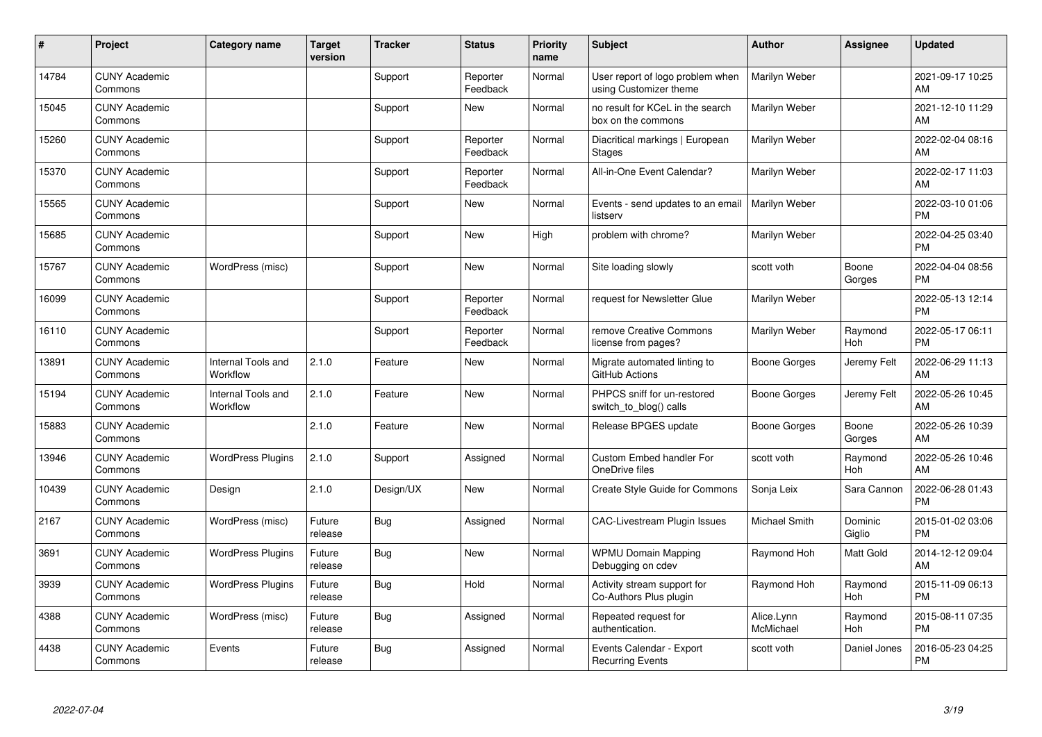| #     | Project                         | <b>Category name</b>                  | <b>Target</b><br>version | <b>Tracker</b> | <b>Status</b>        | <b>Priority</b><br>name | <b>Subject</b>                                             | <b>Author</b>           | Assignee          | <b>Updated</b>                |
|-------|---------------------------------|---------------------------------------|--------------------------|----------------|----------------------|-------------------------|------------------------------------------------------------|-------------------------|-------------------|-------------------------------|
| 14784 | <b>CUNY Academic</b><br>Commons |                                       |                          | Support        | Reporter<br>Feedback | Normal                  | User report of logo problem when<br>using Customizer theme | Marilyn Weber           |                   | 2021-09-17 10:25<br>AM        |
| 15045 | <b>CUNY Academic</b><br>Commons |                                       |                          | Support        | <b>New</b>           | Normal                  | no result for KCeL in the search<br>box on the commons     | Marilyn Weber           |                   | 2021-12-10 11:29<br>AM        |
| 15260 | <b>CUNY Academic</b><br>Commons |                                       |                          | Support        | Reporter<br>Feedback | Normal                  | Diacritical markings   European<br><b>Stages</b>           | Marilyn Weber           |                   | 2022-02-04 08:16<br>AM        |
| 15370 | <b>CUNY Academic</b><br>Commons |                                       |                          | Support        | Reporter<br>Feedback | Normal                  | All-in-One Event Calendar?                                 | Marilyn Weber           |                   | 2022-02-17 11:03<br>AM        |
| 15565 | <b>CUNY Academic</b><br>Commons |                                       |                          | Support        | <b>New</b>           | Normal                  | Events - send updates to an email<br>listserv              | Marilyn Weber           |                   | 2022-03-10 01:06<br><b>PM</b> |
| 15685 | <b>CUNY Academic</b><br>Commons |                                       |                          | Support        | <b>New</b>           | High                    | problem with chrome?                                       | Marilyn Weber           |                   | 2022-04-25 03:40<br><b>PM</b> |
| 15767 | <b>CUNY Academic</b><br>Commons | WordPress (misc)                      |                          | Support        | <b>New</b>           | Normal                  | Site loading slowly                                        | scott voth              | Boone<br>Gorges   | 2022-04-04 08:56<br><b>PM</b> |
| 16099 | <b>CUNY Academic</b><br>Commons |                                       |                          | Support        | Reporter<br>Feedback | Normal                  | request for Newsletter Glue                                | Marilyn Weber           |                   | 2022-05-13 12:14<br><b>PM</b> |
| 16110 | <b>CUNY Academic</b><br>Commons |                                       |                          | Support        | Reporter<br>Feedback | Normal                  | remove Creative Commons<br>license from pages?             | Marilyn Weber           | Raymond<br>Hoh    | 2022-05-17 06:11<br><b>PM</b> |
| 13891 | <b>CUNY Academic</b><br>Commons | <b>Internal Tools and</b><br>Workflow | 2.1.0                    | Feature        | <b>New</b>           | Normal                  | Migrate automated linting to<br>GitHub Actions             | Boone Gorges            | Jeremy Felt       | 2022-06-29 11:13<br>AM        |
| 15194 | <b>CUNY Academic</b><br>Commons | Internal Tools and<br>Workflow        | 2.1.0                    | Feature        | <b>New</b>           | Normal                  | PHPCS sniff for un-restored<br>switch_to_blog() calls      | Boone Gorges            | Jeremy Felt       | 2022-05-26 10:45<br>AM        |
| 15883 | <b>CUNY Academic</b><br>Commons |                                       | 2.1.0                    | Feature        | <b>New</b>           | Normal                  | Release BPGES update                                       | Boone Gorges            | Boone<br>Gorges   | 2022-05-26 10:39<br>AM        |
| 13946 | <b>CUNY Academic</b><br>Commons | <b>WordPress Plugins</b>              | 2.1.0                    | Support        | Assigned             | Normal                  | <b>Custom Embed handler For</b><br>OneDrive files          | scott voth              | Raymond<br>Hoh    | 2022-05-26 10:46<br>AM        |
| 10439 | <b>CUNY Academic</b><br>Commons | Design                                | 2.1.0                    | Design/UX      | <b>New</b>           | Normal                  | Create Style Guide for Commons                             | Sonja Leix              | Sara Cannon       | 2022-06-28 01:43<br><b>PM</b> |
| 2167  | <b>CUNY Academic</b><br>Commons | WordPress (misc)                      | Future<br>release        | Bug            | Assigned             | Normal                  | <b>CAC-Livestream Plugin Issues</b>                        | <b>Michael Smith</b>    | Dominic<br>Giglio | 2015-01-02 03:06<br><b>PM</b> |
| 3691  | <b>CUNY Academic</b><br>Commons | <b>WordPress Plugins</b>              | Future<br>release        | Bug            | <b>New</b>           | Normal                  | <b>WPMU Domain Mapping</b><br>Debugging on cdev            | Raymond Hoh             | Matt Gold         | 2014-12-12 09:04<br>AM        |
| 3939  | <b>CUNY Academic</b><br>Commons | <b>WordPress Plugins</b>              | Future<br>release        | <b>Bug</b>     | Hold                 | Normal                  | Activity stream support for<br>Co-Authors Plus plugin      | Raymond Hoh             | Raymond<br>Hoh    | 2015-11-09 06:13<br><b>PM</b> |
| 4388  | <b>CUNY Academic</b><br>Commons | WordPress (misc)                      | Future<br>release        | Bug            | Assigned             | Normal                  | Repeated request for<br>authentication.                    | Alice.Lynn<br>McMichael | Raymond<br>Hoh    | 2015-08-11 07:35<br><b>PM</b> |
| 4438  | <b>CUNY Academic</b><br>Commons | Events                                | Future<br>release        | <b>Bug</b>     | Assigned             | Normal                  | Events Calendar - Export<br><b>Recurring Events</b>        | scott voth              | Daniel Jones      | 2016-05-23 04:25<br><b>PM</b> |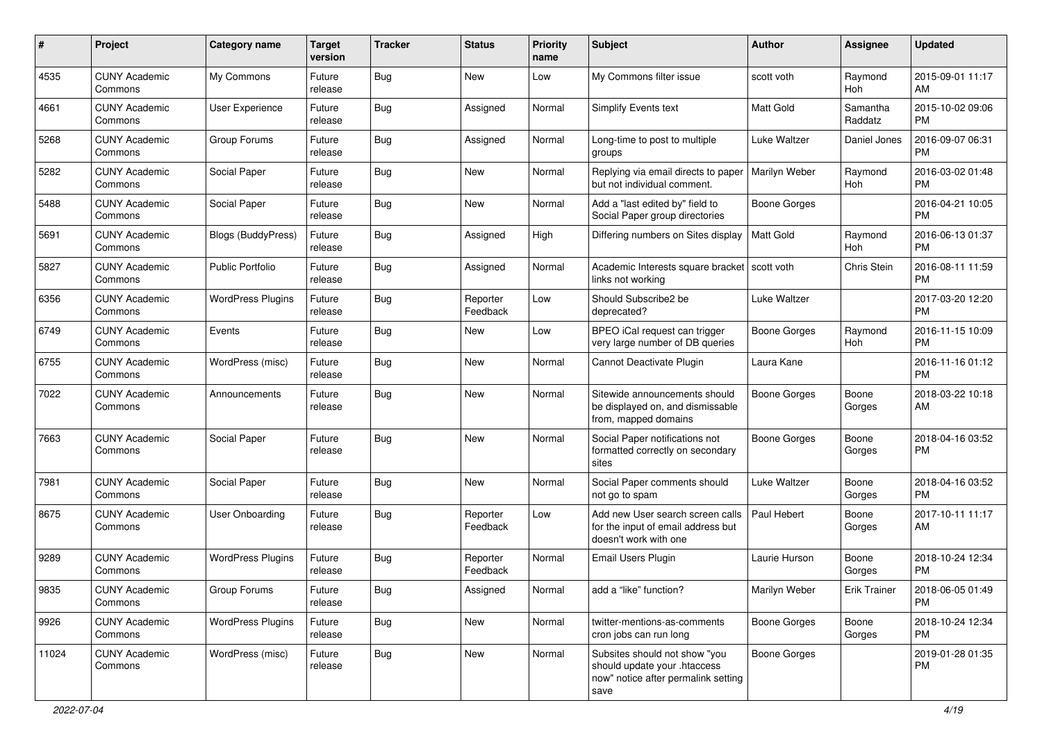| #     | Project                         | <b>Category name</b>      | <b>Target</b><br>version | <b>Tracker</b> | <b>Status</b>        | Priority<br>name | <b>Subject</b>                                                                                               | Author               | <b>Assignee</b>     | <b>Updated</b>                |
|-------|---------------------------------|---------------------------|--------------------------|----------------|----------------------|------------------|--------------------------------------------------------------------------------------------------------------|----------------------|---------------------|-------------------------------|
| 4535  | <b>CUNY Academic</b><br>Commons | My Commons                | Future<br>release        | Bug            | <b>New</b>           | Low              | My Commons filter issue                                                                                      | scott voth           | Raymond<br>Hoh      | 2015-09-01 11:17<br>AM        |
| 4661  | <b>CUNY Academic</b><br>Commons | User Experience           | Future<br>release        | Bug            | Assigned             | Normal           | Simplify Events text                                                                                         | <b>Matt Gold</b>     | Samantha<br>Raddatz | 2015-10-02 09:06<br><b>PM</b> |
| 5268  | <b>CUNY Academic</b><br>Commons | Group Forums              | Future<br>release        | Bug            | Assigned             | Normal           | Long-time to post to multiple<br>groups                                                                      | Luke Waltzer         | Daniel Jones        | 2016-09-07 06:31<br><b>PM</b> |
| 5282  | <b>CUNY Academic</b><br>Commons | Social Paper              | Future<br>release        | Bug            | New                  | Normal           | Replying via email directs to paper<br>but not individual comment.                                           | <b>Marilyn Weber</b> | Raymond<br>Hoh      | 2016-03-02 01:48<br><b>PM</b> |
| 5488  | <b>CUNY Academic</b><br>Commons | Social Paper              | Future<br>release        | Bug            | New                  | Normal           | Add a "last edited by" field to<br>Social Paper group directories                                            | <b>Boone Gorges</b>  |                     | 2016-04-21 10:05<br><b>PM</b> |
| 5691  | <b>CUNY Academic</b><br>Commons | <b>Blogs (BuddyPress)</b> | Future<br>release        | Bug            | Assigned             | High             | Differing numbers on Sites display                                                                           | <b>Matt Gold</b>     | Raymond<br>Hoh      | 2016-06-13 01:37<br><b>PM</b> |
| 5827  | <b>CUNY Academic</b><br>Commons | <b>Public Portfolio</b>   | Future<br>release        | Bug            | Assigned             | Normal           | Academic Interests square bracket   scott voth<br>links not working                                          |                      | Chris Stein         | 2016-08-11 11:59<br><b>PM</b> |
| 6356  | <b>CUNY Academic</b><br>Commons | <b>WordPress Plugins</b>  | Future<br>release        | <b>Bug</b>     | Reporter<br>Feedback | Low              | Should Subscribe2 be<br>deprecated?                                                                          | Luke Waltzer         |                     | 2017-03-20 12:20<br><b>PM</b> |
| 6749  | <b>CUNY Academic</b><br>Commons | Events                    | Future<br>release        | Bug            | New                  | Low              | BPEO iCal request can trigger<br>very large number of DB queries                                             | <b>Boone Gorges</b>  | Raymond<br>Hoh      | 2016-11-15 10:09<br><b>PM</b> |
| 6755  | <b>CUNY Academic</b><br>Commons | WordPress (misc)          | Future<br>release        | Bug            | New                  | Normal           | Cannot Deactivate Plugin                                                                                     | Laura Kane           |                     | 2016-11-16 01:12<br><b>PM</b> |
| 7022  | <b>CUNY Academic</b><br>Commons | Announcements             | Future<br>release        | Bug            | New                  | Normal           | Sitewide announcements should<br>be displayed on, and dismissable<br>from, mapped domains                    | Boone Gorges         | Boone<br>Gorges     | 2018-03-22 10:18<br>AM        |
| 7663  | <b>CUNY Academic</b><br>Commons | Social Paper              | Future<br>release        | Bug            | New                  | Normal           | Social Paper notifications not<br>formatted correctly on secondary<br>sites                                  | <b>Boone Gorges</b>  | Boone<br>Gorges     | 2018-04-16 03:52<br><b>PM</b> |
| 7981  | <b>CUNY Academic</b><br>Commons | Social Paper              | Future<br>release        | Bug            | <b>New</b>           | Normal           | Social Paper comments should<br>not go to spam                                                               | Luke Waltzer         | Boone<br>Gorges     | 2018-04-16 03:52<br><b>PM</b> |
| 8675  | <b>CUNY Academic</b><br>Commons | User Onboarding           | Future<br>release        | <b>Bug</b>     | Reporter<br>Feedback | Low              | Add new User search screen calls<br>for the input of email address but<br>doesn't work with one              | Paul Hebert          | Boone<br>Gorges     | 2017-10-11 11:17<br>AM        |
| 9289  | <b>CUNY Academic</b><br>Commons | <b>WordPress Plugins</b>  | Future<br>release        | Bug            | Reporter<br>Feedback | Normal           | Email Users Plugin                                                                                           | Laurie Hurson        | Boone<br>Gorges     | 2018-10-24 12:34<br><b>PM</b> |
| 9835  | <b>CUNY Academic</b><br>Commons | Group Forums              | Future<br>release        | Bug            | Assigned             | Normal           | add a "like" function?                                                                                       | Marilyn Weber        | Erik Trainer        | 2018-06-05 01:49<br><b>PM</b> |
| 9926  | <b>CUNY Academic</b><br>Commons | <b>WordPress Plugins</b>  | Future<br>release        | Bug            | New                  | Normal           | twitter-mentions-as-comments<br>cron jobs can run long                                                       | Boone Gorges         | Boone<br>Gorges     | 2018-10-24 12:34<br><b>PM</b> |
| 11024 | <b>CUNY Academic</b><br>Commons | WordPress (misc)          | Future<br>release        | <b>Bug</b>     | New                  | Normal           | Subsites should not show "you<br>should update your .htaccess<br>now" notice after permalink setting<br>save | <b>Boone Gorges</b>  |                     | 2019-01-28 01:35<br><b>PM</b> |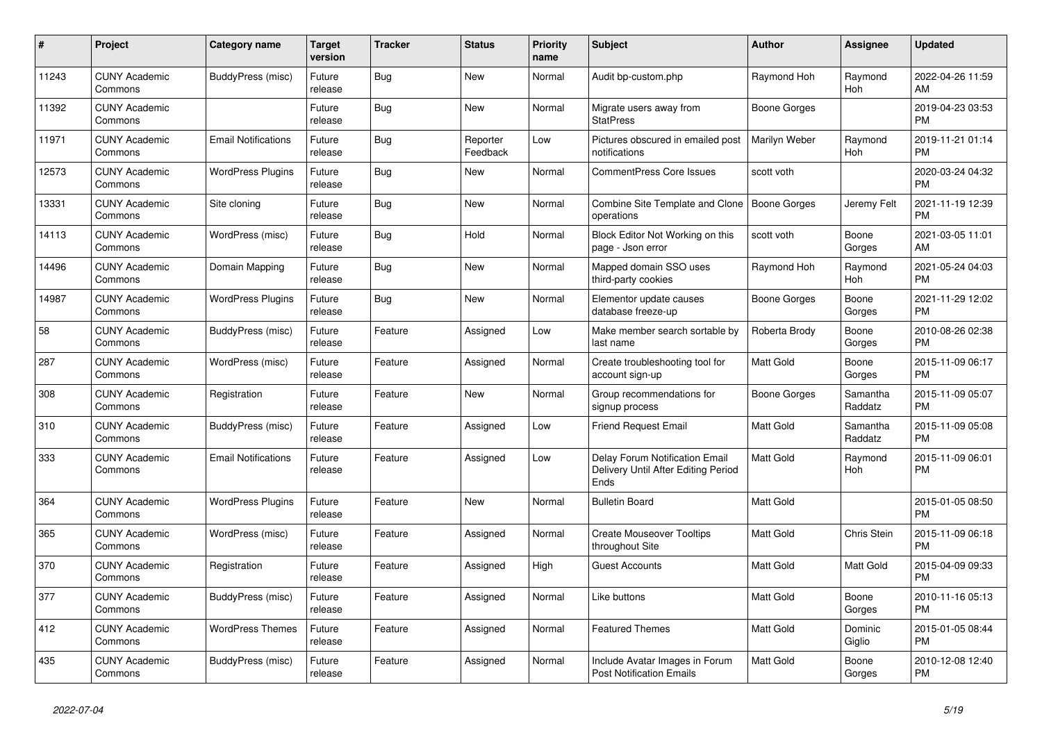| #     | <b>Project</b>                  | Category name              | Target<br>version | <b>Tracker</b> | <b>Status</b>        | Priority<br>name | <b>Subject</b>                                                                | <b>Author</b>    | Assignee            | <b>Updated</b>                |
|-------|---------------------------------|----------------------------|-------------------|----------------|----------------------|------------------|-------------------------------------------------------------------------------|------------------|---------------------|-------------------------------|
| 11243 | <b>CUNY Academic</b><br>Commons | BuddyPress (misc)          | Future<br>release | Bug            | New                  | Normal           | Audit bp-custom.php                                                           | Raymond Hoh      | Raymond<br>Hoh      | 2022-04-26 11:59<br>AM        |
| 11392 | <b>CUNY Academic</b><br>Commons |                            | Future<br>release | Bug            | New                  | Normal           | Migrate users away from<br><b>StatPress</b>                                   | Boone Gorges     |                     | 2019-04-23 03:53<br><b>PM</b> |
| 11971 | <b>CUNY Academic</b><br>Commons | <b>Email Notifications</b> | Future<br>release | <b>Bug</b>     | Reporter<br>Feedback | Low              | Pictures obscured in emailed post<br>notifications                            | Marilyn Weber    | Raymond<br>Hoh      | 2019-11-21 01:14<br><b>PM</b> |
| 12573 | <b>CUNY Academic</b><br>Commons | <b>WordPress Plugins</b>   | Future<br>release | Bug            | New                  | Normal           | <b>CommentPress Core Issues</b>                                               | scott voth       |                     | 2020-03-24 04:32<br><b>PM</b> |
| 13331 | <b>CUNY Academic</b><br>Commons | Site cloning               | Future<br>release | Bug            | New                  | Normal           | Combine Site Template and Clone<br>operations                                 | Boone Gorges     | Jeremy Felt         | 2021-11-19 12:39<br><b>PM</b> |
| 14113 | <b>CUNY Academic</b><br>Commons | WordPress (misc)           | Future<br>release | Bug            | Hold                 | Normal           | Block Editor Not Working on this<br>page - Json error                         | scott voth       | Boone<br>Gorges     | 2021-03-05 11:01<br>AM        |
| 14496 | <b>CUNY Academic</b><br>Commons | Domain Mapping             | Future<br>release | <b>Bug</b>     | New                  | Normal           | Mapped domain SSO uses<br>third-party cookies                                 | Raymond Hoh      | Raymond<br>Hoh      | 2021-05-24 04:03<br><b>PM</b> |
| 14987 | <b>CUNY Academic</b><br>Commons | <b>WordPress Plugins</b>   | Future<br>release | Bug            | <b>New</b>           | Normal           | Elementor update causes<br>database freeze-up                                 | Boone Gorges     | Boone<br>Gorges     | 2021-11-29 12:02<br>PM.       |
| 58    | <b>CUNY Academic</b><br>Commons | BuddyPress (misc)          | Future<br>release | Feature        | Assigned             | Low              | Make member search sortable by<br>last name                                   | Roberta Brody    | Boone<br>Gorges     | 2010-08-26 02:38<br><b>PM</b> |
| 287   | <b>CUNY Academic</b><br>Commons | WordPress (misc)           | Future<br>release | Feature        | Assigned             | Normal           | Create troubleshooting tool for<br>account sign-up                            | Matt Gold        | Boone<br>Gorges     | 2015-11-09 06:17<br><b>PM</b> |
| 308   | <b>CUNY Academic</b><br>Commons | Registration               | Future<br>release | Feature        | <b>New</b>           | Normal           | Group recommendations for<br>signup process                                   | Boone Gorges     | Samantha<br>Raddatz | 2015-11-09 05:07<br><b>PM</b> |
| 310   | <b>CUNY Academic</b><br>Commons | <b>BuddyPress (misc)</b>   | Future<br>release | Feature        | Assigned             | Low              | <b>Friend Request Email</b>                                                   | Matt Gold        | Samantha<br>Raddatz | 2015-11-09 05:08<br><b>PM</b> |
| 333   | <b>CUNY Academic</b><br>Commons | <b>Email Notifications</b> | Future<br>release | Feature        | Assigned             | Low              | Delay Forum Notification Email<br>Delivery Until After Editing Period<br>Ends | <b>Matt Gold</b> | Raymond<br>Hoh      | 2015-11-09 06:01<br><b>PM</b> |
| 364   | <b>CUNY Academic</b><br>Commons | <b>WordPress Plugins</b>   | Future<br>release | Feature        | New                  | Normal           | <b>Bulletin Board</b>                                                         | Matt Gold        |                     | 2015-01-05 08:50<br><b>PM</b> |
| 365   | <b>CUNY Academic</b><br>Commons | WordPress (misc)           | Future<br>release | Feature        | Assigned             | Normal           | <b>Create Mouseover Tooltips</b><br>throughout Site                           | Matt Gold        | Chris Stein         | 2015-11-09 06:18<br><b>PM</b> |
| 370   | <b>CUNY Academic</b><br>Commons | Registration               | Future<br>release | Feature        | Assigned             | High             | <b>Guest Accounts</b>                                                         | Matt Gold        | Matt Gold           | 2015-04-09 09:33<br><b>PM</b> |
| 377   | <b>CUNY Academic</b><br>Commons | <b>BuddyPress (misc)</b>   | Future<br>release | Feature        | Assigned             | Normal           | Like buttons                                                                  | <b>Matt Gold</b> | Boone<br>Gorges     | 2010-11-16 05:13<br><b>PM</b> |
| 412   | <b>CUNY Academic</b><br>Commons | <b>WordPress Themes</b>    | Future<br>release | Feature        | Assigned             | Normal           | <b>Featured Themes</b>                                                        | Matt Gold        | Dominic<br>Giglio   | 2015-01-05 08:44<br><b>PM</b> |
| 435   | <b>CUNY Academic</b><br>Commons | BuddyPress (misc)          | Future<br>release | Feature        | Assigned             | Normal           | Include Avatar Images in Forum<br><b>Post Notification Emails</b>             | Matt Gold        | Boone<br>Gorges     | 2010-12-08 12:40<br><b>PM</b> |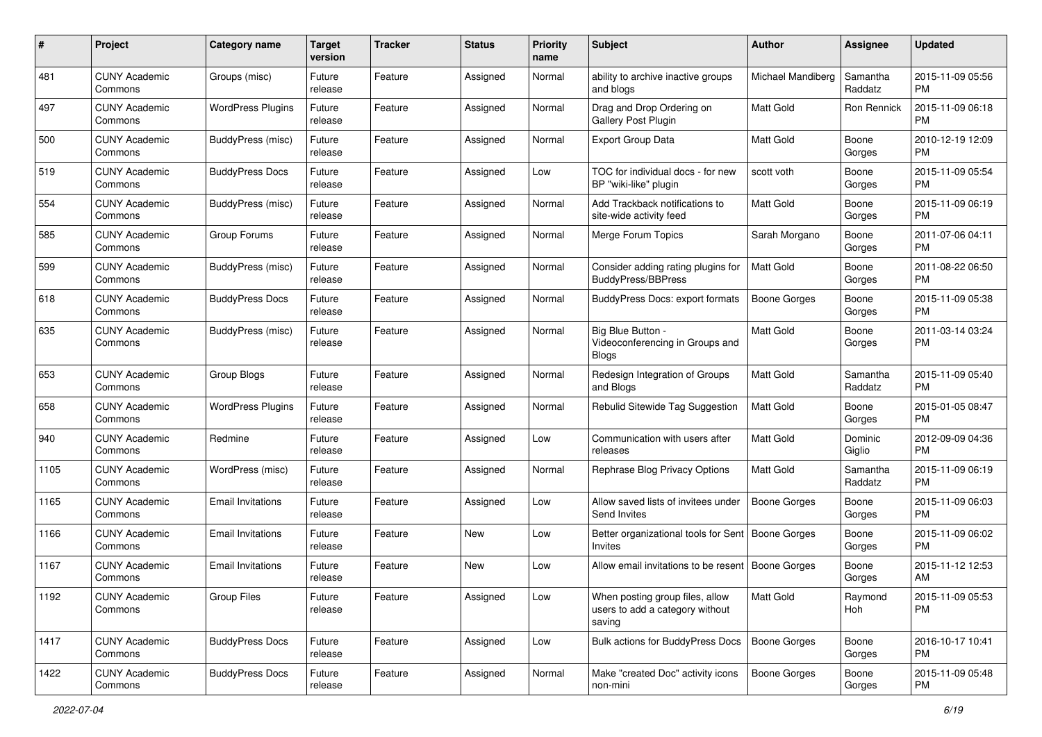| #    | Project                         | <b>Category name</b>     | <b>Target</b><br>version | <b>Tracker</b> | <b>Status</b> | Priority<br>name | <b>Subject</b>                                                               | Author              | <b>Assignee</b>     | <b>Updated</b>                |
|------|---------------------------------|--------------------------|--------------------------|----------------|---------------|------------------|------------------------------------------------------------------------------|---------------------|---------------------|-------------------------------|
| 481  | <b>CUNY Academic</b><br>Commons | Groups (misc)            | Future<br>release        | Feature        | Assigned      | Normal           | ability to archive inactive groups<br>and blogs                              | Michael Mandiberg   | Samantha<br>Raddatz | 2015-11-09 05:56<br>PM.       |
| 497  | <b>CUNY Academic</b><br>Commons | <b>WordPress Plugins</b> | Future<br>release        | Feature        | Assigned      | Normal           | Drag and Drop Ordering on<br>Gallery Post Plugin                             | <b>Matt Gold</b>    | Ron Rennick         | 2015-11-09 06:18<br><b>PM</b> |
| 500  | <b>CUNY Academic</b><br>Commons | <b>BuddyPress (misc)</b> | Future<br>release        | Feature        | Assigned      | Normal           | <b>Export Group Data</b>                                                     | Matt Gold           | Boone<br>Gorges     | 2010-12-19 12:09<br><b>PM</b> |
| 519  | <b>CUNY Academic</b><br>Commons | <b>BuddyPress Docs</b>   | Future<br>release        | Feature        | Assigned      | Low              | TOC for individual docs - for new<br>BP "wiki-like" plugin                   | scott voth          | Boone<br>Gorges     | 2015-11-09 05:54<br><b>PM</b> |
| 554  | <b>CUNY Academic</b><br>Commons | BuddyPress (misc)        | Future<br>release        | Feature        | Assigned      | Normal           | Add Trackback notifications to<br>site-wide activity feed                    | <b>Matt Gold</b>    | Boone<br>Gorges     | 2015-11-09 06:19<br><b>PM</b> |
| 585  | <b>CUNY Academic</b><br>Commons | Group Forums             | Future<br>release        | Feature        | Assigned      | Normal           | Merge Forum Topics                                                           | Sarah Morgano       | Boone<br>Gorges     | 2011-07-06 04:11<br><b>PM</b> |
| 599  | <b>CUNY Academic</b><br>Commons | BuddyPress (misc)        | Future<br>release        | Feature        | Assigned      | Normal           | Consider adding rating plugins for<br><b>BuddyPress/BBPress</b>              | Matt Gold           | Boone<br>Gorges     | 2011-08-22 06:50<br><b>PM</b> |
| 618  | <b>CUNY Academic</b><br>Commons | <b>BuddyPress Docs</b>   | Future<br>release        | Feature        | Assigned      | Normal           | BuddyPress Docs: export formats                                              | Boone Gorges        | Boone<br>Gorges     | 2015-11-09 05:38<br>PM.       |
| 635  | <b>CUNY Academic</b><br>Commons | <b>BuddyPress</b> (misc) | Future<br>release        | Feature        | Assigned      | Normal           | Big Blue Button -<br>Videoconferencing in Groups and<br><b>Blogs</b>         | <b>Matt Gold</b>    | Boone<br>Gorges     | 2011-03-14 03:24<br><b>PM</b> |
| 653  | <b>CUNY Academic</b><br>Commons | Group Blogs              | Future<br>release        | Feature        | Assigned      | Normal           | Redesign Integration of Groups<br>and Blogs                                  | <b>Matt Gold</b>    | Samantha<br>Raddatz | 2015-11-09 05:40<br><b>PM</b> |
| 658  | <b>CUNY Academic</b><br>Commons | <b>WordPress Plugins</b> | Future<br>release        | Feature        | Assigned      | Normal           | Rebulid Sitewide Tag Suggestion                                              | <b>Matt Gold</b>    | Boone<br>Gorges     | 2015-01-05 08:47<br>PM.       |
| 940  | <b>CUNY Academic</b><br>Commons | Redmine                  | Future<br>release        | Feature        | Assigned      | Low              | Communication with users after<br>releases                                   | Matt Gold           | Dominic<br>Giglio   | 2012-09-09 04:36<br>PM.       |
| 1105 | <b>CUNY Academic</b><br>Commons | WordPress (misc)         | Future<br>release        | Feature        | Assigned      | Normal           | Rephrase Blog Privacy Options                                                | <b>Matt Gold</b>    | Samantha<br>Raddatz | 2015-11-09 06:19<br><b>PM</b> |
| 1165 | <b>CUNY Academic</b><br>Commons | <b>Email Invitations</b> | Future<br>release        | Feature        | Assigned      | Low              | Allow saved lists of invitees under<br>Send Invites                          | <b>Boone Gorges</b> | Boone<br>Gorges     | 2015-11-09 06:03<br><b>PM</b> |
| 1166 | <b>CUNY Academic</b><br>Commons | <b>Email Invitations</b> | Future<br>release        | Feature        | New           | Low              | Better organizational tools for Sent<br>Invites                              | Boone Gorges        | Boone<br>Gorges     | 2015-11-09 06:02<br><b>PM</b> |
| 1167 | <b>CUNY Academic</b><br>Commons | <b>Email Invitations</b> | Future<br>release        | Feature        | New           | Low              | Allow email invitations to be resent                                         | Boone Gorges        | Boone<br>Gorges     | 2015-11-12 12:53<br>AM        |
| 1192 | <b>CUNY Academic</b><br>Commons | <b>Group Files</b>       | Future<br>release        | Feature        | Assigned      | Low              | When posting group files, allow<br>users to add a category without<br>saving | <b>Matt Gold</b>    | Raymond<br>Hoh      | 2015-11-09 05:53<br><b>PM</b> |
| 1417 | <b>CUNY Academic</b><br>Commons | <b>BuddyPress Docs</b>   | Future<br>release        | Feature        | Assigned      | Low              | Bulk actions for BuddyPress Docs                                             | <b>Boone Gorges</b> | Boone<br>Gorges     | 2016-10-17 10:41<br><b>PM</b> |
| 1422 | <b>CUNY Academic</b><br>Commons | <b>BuddyPress Docs</b>   | Future<br>release        | Feature        | Assigned      | Normal           | Make "created Doc" activity icons<br>non-mini                                | <b>Boone Gorges</b> | Boone<br>Gorges     | 2015-11-09 05:48<br><b>PM</b> |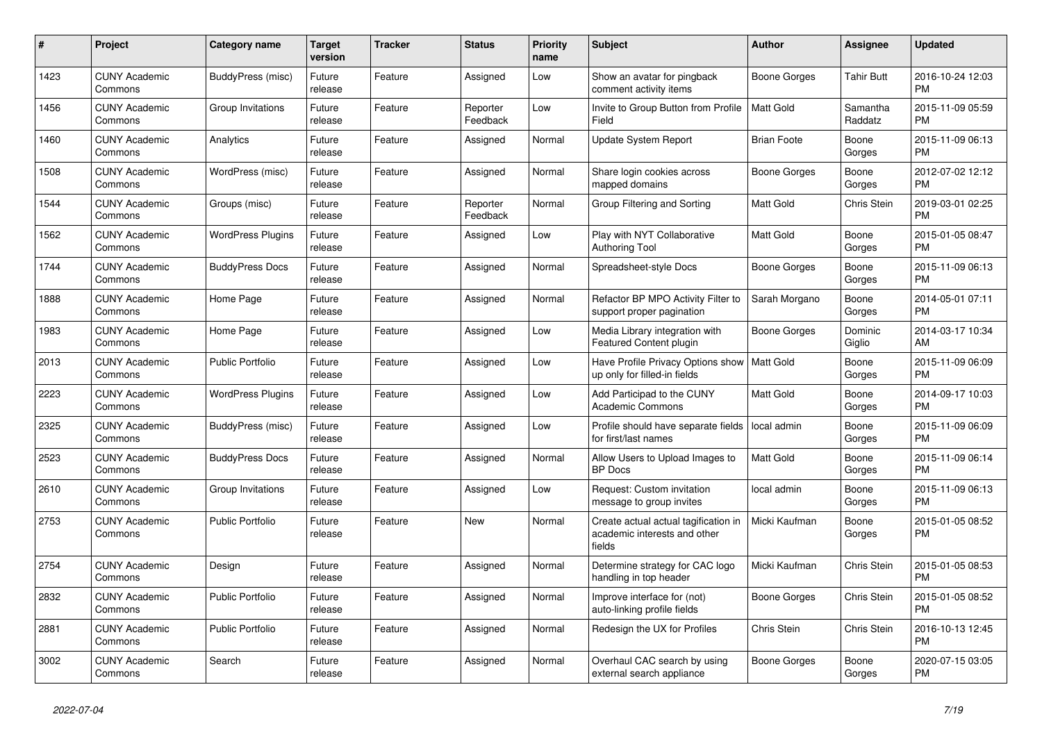| #    | <b>Project</b>                  | <b>Category name</b>     | <b>Target</b><br>version | <b>Tracker</b> | <b>Status</b>        | <b>Priority</b><br>name | <b>Subject</b>                                                                 | <b>Author</b>      | Assignee            | <b>Updated</b>                |
|------|---------------------------------|--------------------------|--------------------------|----------------|----------------------|-------------------------|--------------------------------------------------------------------------------|--------------------|---------------------|-------------------------------|
| 1423 | <b>CUNY Academic</b><br>Commons | <b>BuddyPress (misc)</b> | Future<br>release        | Feature        | Assigned             | Low                     | Show an avatar for pingback<br>comment activity items                          | Boone Gorges       | <b>Tahir Butt</b>   | 2016-10-24 12:03<br><b>PM</b> |
| 1456 | <b>CUNY Academic</b><br>Commons | Group Invitations        | Future<br>release        | Feature        | Reporter<br>Feedback | Low                     | Invite to Group Button from Profile<br>Field                                   | <b>Matt Gold</b>   | Samantha<br>Raddatz | 2015-11-09 05:59<br><b>PM</b> |
| 1460 | <b>CUNY Academic</b><br>Commons | Analytics                | Future<br>release        | Feature        | Assigned             | Normal                  | Update System Report                                                           | <b>Brian Foote</b> | Boone<br>Gorges     | 2015-11-09 06:13<br><b>PM</b> |
| 1508 | <b>CUNY Academic</b><br>Commons | WordPress (misc)         | Future<br>release        | Feature        | Assigned             | Normal                  | Share login cookies across<br>mapped domains                                   | Boone Gorges       | Boone<br>Gorges     | 2012-07-02 12:12<br><b>PM</b> |
| 1544 | <b>CUNY Academic</b><br>Commons | Groups (misc)            | Future<br>release        | Feature        | Reporter<br>Feedback | Normal                  | Group Filtering and Sorting                                                    | Matt Gold          | Chris Stein         | 2019-03-01 02:25<br><b>PM</b> |
| 1562 | <b>CUNY Academic</b><br>Commons | <b>WordPress Plugins</b> | Future<br>release        | Feature        | Assigned             | Low                     | Play with NYT Collaborative<br><b>Authoring Tool</b>                           | Matt Gold          | Boone<br>Gorges     | 2015-01-05 08:47<br><b>PM</b> |
| 1744 | <b>CUNY Academic</b><br>Commons | <b>BuddyPress Docs</b>   | Future<br>release        | Feature        | Assigned             | Normal                  | Spreadsheet-style Docs                                                         | Boone Gorges       | Boone<br>Gorges     | 2015-11-09 06:13<br><b>PM</b> |
| 1888 | <b>CUNY Academic</b><br>Commons | Home Page                | Future<br>release        | Feature        | Assigned             | Normal                  | Refactor BP MPO Activity Filter to<br>support proper pagination                | Sarah Morgano      | Boone<br>Gorges     | 2014-05-01 07:11<br><b>PM</b> |
| 1983 | <b>CUNY Academic</b><br>Commons | Home Page                | Future<br>release        | Feature        | Assigned             | Low                     | Media Library integration with<br>Featured Content plugin                      | Boone Gorges       | Dominic<br>Giglio   | 2014-03-17 10:34<br>AM        |
| 2013 | <b>CUNY Academic</b><br>Commons | <b>Public Portfolio</b>  | Future<br>release        | Feature        | Assigned             | Low                     | Have Profile Privacy Options show   Matt Gold<br>up only for filled-in fields  |                    | Boone<br>Gorges     | 2015-11-09 06:09<br><b>PM</b> |
| 2223 | <b>CUNY Academic</b><br>Commons | <b>WordPress Plugins</b> | Future<br>release        | Feature        | Assigned             | Low                     | Add Participad to the CUNY<br><b>Academic Commons</b>                          | <b>Matt Gold</b>   | Boone<br>Gorges     | 2014-09-17 10:03<br><b>PM</b> |
| 2325 | <b>CUNY Academic</b><br>Commons | BuddyPress (misc)        | Future<br>release        | Feature        | Assigned             | Low                     | Profile should have separate fields<br>for first/last names                    | local admin        | Boone<br>Gorges     | 2015-11-09 06:09<br><b>PM</b> |
| 2523 | <b>CUNY Academic</b><br>Commons | <b>BuddyPress Docs</b>   | Future<br>release        | Feature        | Assigned             | Normal                  | Allow Users to Upload Images to<br><b>BP</b> Docs                              | Matt Gold          | Boone<br>Gorges     | 2015-11-09 06:14<br><b>PM</b> |
| 2610 | <b>CUNY Academic</b><br>Commons | Group Invitations        | Future<br>release        | Feature        | Assigned             | Low                     | Request: Custom invitation<br>message to group invites                         | local admin        | Boone<br>Gorges     | 2015-11-09 06:13<br><b>PM</b> |
| 2753 | <b>CUNY Academic</b><br>Commons | <b>Public Portfolio</b>  | Future<br>release        | Feature        | <b>New</b>           | Normal                  | Create actual actual tagification in<br>academic interests and other<br>fields | Micki Kaufman      | Boone<br>Gorges     | 2015-01-05 08:52<br><b>PM</b> |
| 2754 | <b>CUNY Academic</b><br>Commons | Design                   | Future<br>release        | Feature        | Assigned             | Normal                  | Determine strategy for CAC logo<br>handling in top header                      | Micki Kaufman      | Chris Stein         | 2015-01-05 08:53<br><b>PM</b> |
| 2832 | <b>CUNY Academic</b><br>Commons | <b>Public Portfolio</b>  | Future<br>release        | Feature        | Assigned             | Normal                  | Improve interface for (not)<br>auto-linking profile fields                     | Boone Gorges       | Chris Stein         | 2015-01-05 08:52<br><b>PM</b> |
| 2881 | <b>CUNY Academic</b><br>Commons | <b>Public Portfolio</b>  | Future<br>release        | Feature        | Assigned             | Normal                  | Redesign the UX for Profiles                                                   | Chris Stein        | Chris Stein         | 2016-10-13 12:45<br><b>PM</b> |
| 3002 | <b>CUNY Academic</b><br>Commons | Search                   | Future<br>release        | Feature        | Assigned             | Normal                  | Overhaul CAC search by using<br>external search appliance                      | Boone Gorges       | Boone<br>Gorges     | 2020-07-15 03:05<br><b>PM</b> |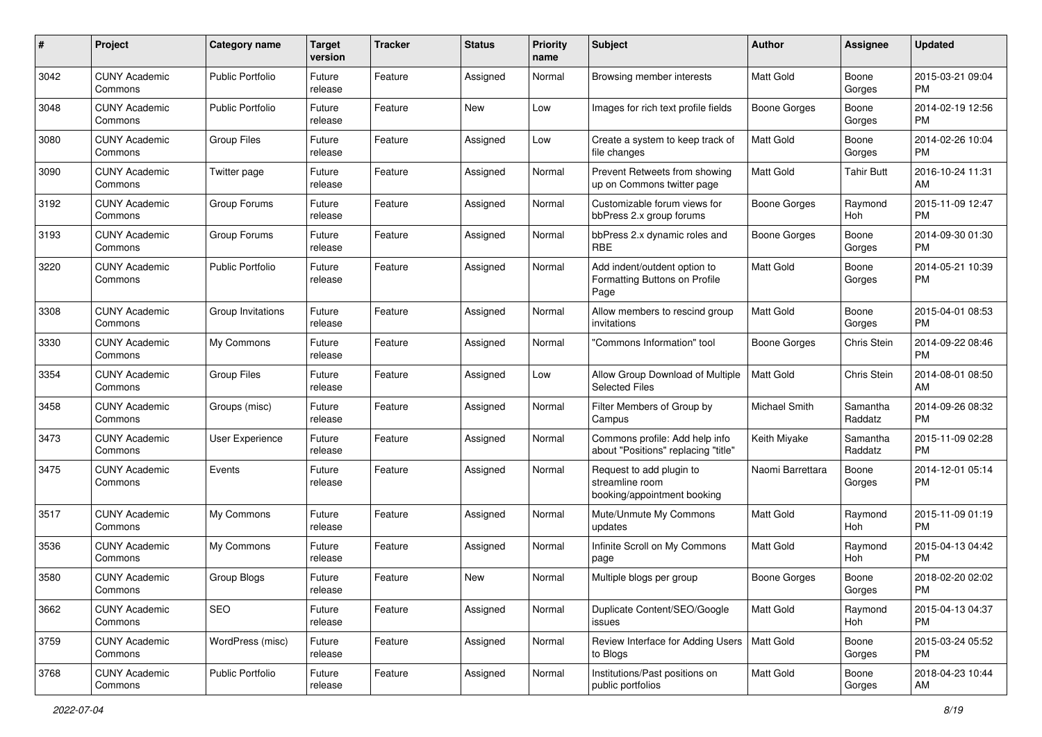| #    | Project                         | <b>Category name</b>    | <b>Target</b><br>version | <b>Tracker</b> | <b>Status</b> | Priority<br>name | <b>Subject</b>                                                             | Author              | <b>Assignee</b>     | <b>Updated</b>                |
|------|---------------------------------|-------------------------|--------------------------|----------------|---------------|------------------|----------------------------------------------------------------------------|---------------------|---------------------|-------------------------------|
| 3042 | <b>CUNY Academic</b><br>Commons | <b>Public Portfolio</b> | Future<br>release        | Feature        | Assigned      | Normal           | Browsing member interests                                                  | <b>Matt Gold</b>    | Boone<br>Gorges     | 2015-03-21 09:04<br>PM.       |
| 3048 | <b>CUNY Academic</b><br>Commons | <b>Public Portfolio</b> | Future<br>release        | Feature        | New           | Low              | Images for rich text profile fields                                        | <b>Boone Gorges</b> | Boone<br>Gorges     | 2014-02-19 12:56<br><b>PM</b> |
| 3080 | <b>CUNY Academic</b><br>Commons | <b>Group Files</b>      | Future<br>release        | Feature        | Assigned      | Low              | Create a system to keep track of<br>file changes                           | <b>Matt Gold</b>    | Boone<br>Gorges     | 2014-02-26 10:04<br><b>PM</b> |
| 3090 | <b>CUNY Academic</b><br>Commons | Twitter page            | Future<br>release        | Feature        | Assigned      | Normal           | Prevent Retweets from showing<br>up on Commons twitter page                | <b>Matt Gold</b>    | <b>Tahir Butt</b>   | 2016-10-24 11:31<br>AM        |
| 3192 | <b>CUNY Academic</b><br>Commons | Group Forums            | Future<br>release        | Feature        | Assigned      | Normal           | Customizable forum views for<br>bbPress 2.x group forums                   | Boone Gorges        | Raymond<br>Hoh      | 2015-11-09 12:47<br><b>PM</b> |
| 3193 | <b>CUNY Academic</b><br>Commons | Group Forums            | Future<br>release        | Feature        | Assigned      | Normal           | bbPress 2.x dynamic roles and<br>RBE                                       | <b>Boone Gorges</b> | Boone<br>Gorges     | 2014-09-30 01:30<br>PM.       |
| 3220 | <b>CUNY Academic</b><br>Commons | Public Portfolio        | Future<br>release        | Feature        | Assigned      | Normal           | Add indent/outdent option to<br>Formatting Buttons on Profile<br>Page      | Matt Gold           | Boone<br>Gorges     | 2014-05-21 10:39<br>PM.       |
| 3308 | <b>CUNY Academic</b><br>Commons | Group Invitations       | Future<br>release        | Feature        | Assigned      | Normal           | Allow members to rescind group<br>invitations                              | <b>Matt Gold</b>    | Boone<br>Gorges     | 2015-04-01 08:53<br>PM.       |
| 3330 | <b>CUNY Academic</b><br>Commons | My Commons              | Future<br>release        | Feature        | Assigned      | Normal           | 'Commons Information" tool                                                 | <b>Boone Gorges</b> | Chris Stein         | 2014-09-22 08:46<br>PM.       |
| 3354 | <b>CUNY Academic</b><br>Commons | <b>Group Files</b>      | Future<br>release        | Feature        | Assigned      | Low              | Allow Group Download of Multiple<br><b>Selected Files</b>                  | Matt Gold           | Chris Stein         | 2014-08-01 08:50<br>AM        |
| 3458 | <b>CUNY Academic</b><br>Commons | Groups (misc)           | Future<br>release        | Feature        | Assigned      | Normal           | Filter Members of Group by<br>Campus                                       | Michael Smith       | Samantha<br>Raddatz | 2014-09-26 08:32<br><b>PM</b> |
| 3473 | <b>CUNY Academic</b><br>Commons | User Experience         | Future<br>release        | Feature        | Assigned      | Normal           | Commons profile: Add help info<br>about "Positions" replacing "title"      | Keith Miyake        | Samantha<br>Raddatz | 2015-11-09 02:28<br><b>PM</b> |
| 3475 | <b>CUNY Academic</b><br>Commons | Events                  | Future<br>release        | Feature        | Assigned      | Normal           | Request to add plugin to<br>streamline room<br>booking/appointment booking | Naomi Barrettara    | Boone<br>Gorges     | 2014-12-01 05:14<br><b>PM</b> |
| 3517 | <b>CUNY Academic</b><br>Commons | My Commons              | Future<br>release        | Feature        | Assigned      | Normal           | Mute/Unmute My Commons<br>updates                                          | <b>Matt Gold</b>    | Raymond<br>Hoh      | 2015-11-09 01:19<br><b>PM</b> |
| 3536 | <b>CUNY Academic</b><br>Commons | My Commons              | Future<br>release        | Feature        | Assigned      | Normal           | Infinite Scroll on My Commons<br>page                                      | Matt Gold           | Raymond<br>Hoh      | 2015-04-13 04:42<br><b>PM</b> |
| 3580 | <b>CUNY Academic</b><br>Commons | Group Blogs             | Future<br>release        | Feature        | New           | Normal           | Multiple blogs per group                                                   | <b>Boone Gorges</b> | Boone<br>Gorges     | 2018-02-20 02:02<br>PM        |
| 3662 | <b>CUNY Academic</b><br>Commons | SEO                     | Future<br>release        | Feature        | Assigned      | Normal           | Duplicate Content/SEO/Google<br>issues                                     | Matt Gold           | Raymond<br>Hoh      | 2015-04-13 04:37<br>PM        |
| 3759 | <b>CUNY Academic</b><br>Commons | WordPress (misc)        | Future<br>release        | Feature        | Assigned      | Normal           | Review Interface for Adding Users   Matt Gold<br>to Blogs                  |                     | Boone<br>Gorges     | 2015-03-24 05:52<br><b>PM</b> |
| 3768 | <b>CUNY Academic</b><br>Commons | Public Portfolio        | Future<br>release        | Feature        | Assigned      | Normal           | Institutions/Past positions on<br>public portfolios                        | Matt Gold           | Boone<br>Gorges     | 2018-04-23 10:44<br>AM        |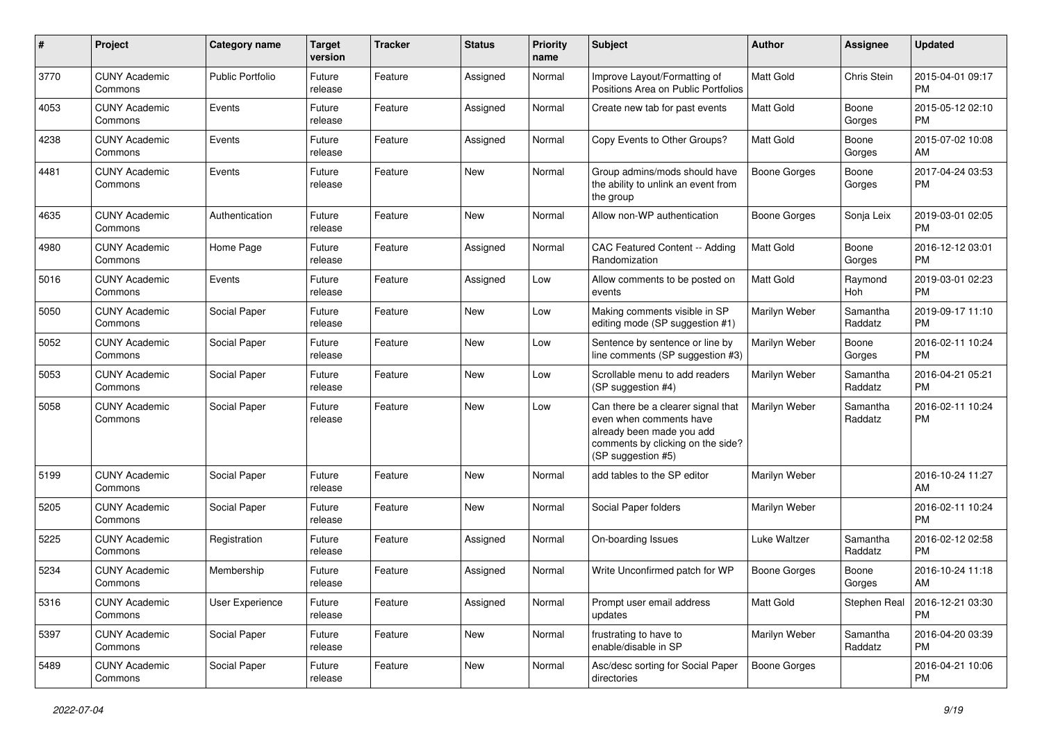| #    | Project                         | Category name           | <b>Target</b><br>version | Tracker | <b>Status</b> | <b>Priority</b><br>name | Subject                                                                                                                                               | Author              | Assignee            | <b>Updated</b>                |
|------|---------------------------------|-------------------------|--------------------------|---------|---------------|-------------------------|-------------------------------------------------------------------------------------------------------------------------------------------------------|---------------------|---------------------|-------------------------------|
| 3770 | <b>CUNY Academic</b><br>Commons | <b>Public Portfolio</b> | Future<br>release        | Feature | Assigned      | Normal                  | Improve Layout/Formatting of<br>Positions Area on Public Portfolios                                                                                   | <b>Matt Gold</b>    | Chris Stein         | 2015-04-01 09:17<br><b>PM</b> |
| 4053 | <b>CUNY Academic</b><br>Commons | Events                  | Future<br>release        | Feature | Assigned      | Normal                  | Create new tab for past events                                                                                                                        | Matt Gold           | Boone<br>Gorges     | 2015-05-12 02:10<br><b>PM</b> |
| 4238 | <b>CUNY Academic</b><br>Commons | Events                  | Future<br>release        | Feature | Assigned      | Normal                  | Copy Events to Other Groups?                                                                                                                          | Matt Gold           | Boone<br>Gorges     | 2015-07-02 10:08<br>AM        |
| 4481 | <b>CUNY Academic</b><br>Commons | Events                  | Future<br>release        | Feature | <b>New</b>    | Normal                  | Group admins/mods should have<br>the ability to unlink an event from<br>the group                                                                     | <b>Boone Gorges</b> | Boone<br>Gorges     | 2017-04-24 03:53<br><b>PM</b> |
| 4635 | <b>CUNY Academic</b><br>Commons | Authentication          | Future<br>release        | Feature | <b>New</b>    | Normal                  | Allow non-WP authentication                                                                                                                           | <b>Boone Gorges</b> | Sonja Leix          | 2019-03-01 02:05<br><b>PM</b> |
| 4980 | <b>CUNY Academic</b><br>Commons | Home Page               | Future<br>release        | Feature | Assigned      | Normal                  | CAC Featured Content -- Adding<br>Randomization                                                                                                       | Matt Gold           | Boone<br>Gorges     | 2016-12-12 03:01<br><b>PM</b> |
| 5016 | <b>CUNY Academic</b><br>Commons | Events                  | Future<br>release        | Feature | Assigned      | Low                     | Allow comments to be posted on<br>events                                                                                                              | Matt Gold           | Raymond<br>Hoh      | 2019-03-01 02:23<br><b>PM</b> |
| 5050 | <b>CUNY Academic</b><br>Commons | Social Paper            | Future<br>release        | Feature | <b>New</b>    | Low                     | Making comments visible in SP<br>editing mode (SP suggestion #1)                                                                                      | Marilyn Weber       | Samantha<br>Raddatz | 2019-09-17 11:10<br><b>PM</b> |
| 5052 | <b>CUNY Academic</b><br>Commons | Social Paper            | Future<br>release        | Feature | New           | Low                     | Sentence by sentence or line by<br>line comments (SP suggestion #3)                                                                                   | Marilyn Weber       | Boone<br>Gorges     | 2016-02-11 10:24<br><b>PM</b> |
| 5053 | <b>CUNY Academic</b><br>Commons | Social Paper            | Future<br>release        | Feature | New           | Low                     | Scrollable menu to add readers<br>(SP suggestion #4)                                                                                                  | Marilyn Weber       | Samantha<br>Raddatz | 2016-04-21 05:21<br><b>PM</b> |
| 5058 | <b>CUNY Academic</b><br>Commons | Social Paper            | Future<br>release        | Feature | <b>New</b>    | Low                     | Can there be a clearer signal that<br>even when comments have<br>already been made you add<br>comments by clicking on the side?<br>(SP suggestion #5) | Marilyn Weber       | Samantha<br>Raddatz | 2016-02-11 10:24<br><b>PM</b> |
| 5199 | <b>CUNY Academic</b><br>Commons | Social Paper            | Future<br>release        | Feature | <b>New</b>    | Normal                  | add tables to the SP editor                                                                                                                           | Marilyn Weber       |                     | 2016-10-24 11:27<br>AM        |
| 5205 | <b>CUNY Academic</b><br>Commons | Social Paper            | Future<br>release        | Feature | <b>New</b>    | Normal                  | Social Paper folders                                                                                                                                  | Marilyn Weber       |                     | 2016-02-11 10:24<br><b>PM</b> |
| 5225 | <b>CUNY Academic</b><br>Commons | Registration            | Future<br>release        | Feature | Assigned      | Normal                  | On-boarding Issues                                                                                                                                    | Luke Waltzer        | Samantha<br>Raddatz | 2016-02-12 02:58<br><b>PM</b> |
| 5234 | <b>CUNY Academic</b><br>Commons | Membership              | Future<br>release        | Feature | Assigned      | Normal                  | Write Unconfirmed patch for WP                                                                                                                        | <b>Boone Gorges</b> | Boone<br>Gorges     | 2016-10-24 11:18<br>AM        |
| 5316 | <b>CUNY Academic</b><br>Commons | <b>User Experience</b>  | Future<br>release        | Feature | Assigned      | Normal                  | Prompt user email address<br>updates                                                                                                                  | Matt Gold           | Stephen Real        | 2016-12-21 03:30<br><b>PM</b> |
| 5397 | <b>CUNY Academic</b><br>Commons | Social Paper            | Future<br>release        | Feature | New           | Normal                  | frustrating to have to<br>enable/disable in SP                                                                                                        | Marilyn Weber       | Samantha<br>Raddatz | 2016-04-20 03:39<br><b>PM</b> |
| 5489 | <b>CUNY Academic</b><br>Commons | Social Paper            | Future<br>release        | Feature | New           | Normal                  | Asc/desc sorting for Social Paper<br>directories                                                                                                      | <b>Boone Gorges</b> |                     | 2016-04-21 10:06<br>PM        |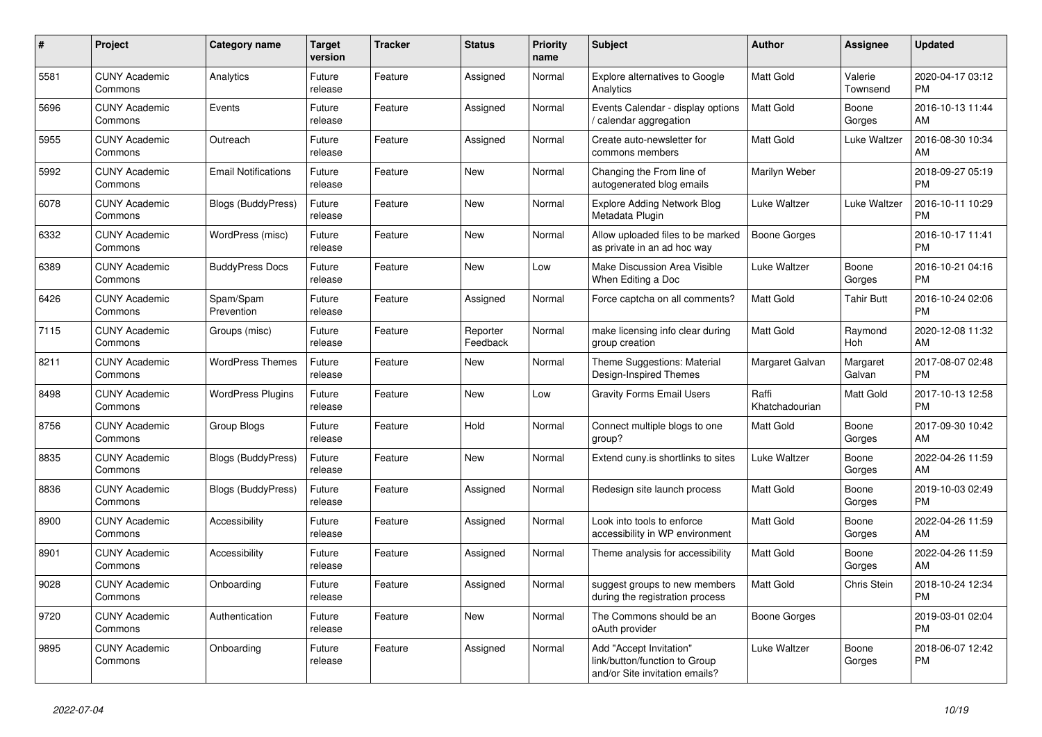| $\#$ | Project                         | <b>Category name</b>       | <b>Target</b><br>version | <b>Tracker</b> | <b>Status</b>        | <b>Priority</b><br>name | <b>Subject</b>                                                                             | <b>Author</b>           | Assignee            | <b>Updated</b>                |
|------|---------------------------------|----------------------------|--------------------------|----------------|----------------------|-------------------------|--------------------------------------------------------------------------------------------|-------------------------|---------------------|-------------------------------|
| 5581 | <b>CUNY Academic</b><br>Commons | Analytics                  | Future<br>release        | Feature        | Assigned             | Normal                  | Explore alternatives to Google<br>Analytics                                                | <b>Matt Gold</b>        | Valerie<br>Townsend | 2020-04-17 03:12<br><b>PM</b> |
| 5696 | <b>CUNY Academic</b><br>Commons | Events                     | Future<br>release        | Feature        | Assigned             | Normal                  | Events Calendar - display options<br>calendar aggregation                                  | <b>Matt Gold</b>        | Boone<br>Gorges     | 2016-10-13 11:44<br>AM        |
| 5955 | <b>CUNY Academic</b><br>Commons | Outreach                   | Future<br>release        | Feature        | Assigned             | Normal                  | Create auto-newsletter for<br>commons members                                              | Matt Gold               | Luke Waltzer        | 2016-08-30 10:34<br>AM        |
| 5992 | <b>CUNY Academic</b><br>Commons | <b>Email Notifications</b> | Future<br>release        | Feature        | <b>New</b>           | Normal                  | Changing the From line of<br>autogenerated blog emails                                     | Marilyn Weber           |                     | 2018-09-27 05:19<br><b>PM</b> |
| 6078 | <b>CUNY Academic</b><br>Commons | Blogs (BuddyPress)         | Future<br>release        | Feature        | New                  | Normal                  | Explore Adding Network Blog<br>Metadata Plugin                                             | Luke Waltzer            | Luke Waltzer        | 2016-10-11 10:29<br><b>PM</b> |
| 6332 | <b>CUNY Academic</b><br>Commons | WordPress (misc)           | Future<br>release        | Feature        | New                  | Normal                  | Allow uploaded files to be marked<br>as private in an ad hoc way                           | Boone Gorges            |                     | 2016-10-17 11:41<br><b>PM</b> |
| 6389 | <b>CUNY Academic</b><br>Commons | <b>BuddyPress Docs</b>     | Future<br>release        | Feature        | <b>New</b>           | Low                     | Make Discussion Area Visible<br>When Editing a Doc                                         | Luke Waltzer            | Boone<br>Gorges     | 2016-10-21 04:16<br><b>PM</b> |
| 6426 | <b>CUNY Academic</b><br>Commons | Spam/Spam<br>Prevention    | Future<br>release        | Feature        | Assigned             | Normal                  | Force captcha on all comments?                                                             | <b>Matt Gold</b>        | <b>Tahir Butt</b>   | 2016-10-24 02:06<br><b>PM</b> |
| 7115 | <b>CUNY Academic</b><br>Commons | Groups (misc)              | Future<br>release        | Feature        | Reporter<br>Feedback | Normal                  | make licensing info clear during<br>group creation                                         | Matt Gold               | Raymond<br>Hoh      | 2020-12-08 11:32<br>AM        |
| 8211 | <b>CUNY Academic</b><br>Commons | <b>WordPress Themes</b>    | Future<br>release        | Feature        | New                  | Normal                  | Theme Suggestions: Material<br>Design-Inspired Themes                                      | Margaret Galvan         | Margaret<br>Galvan  | 2017-08-07 02:48<br><b>PM</b> |
| 8498 | <b>CUNY Academic</b><br>Commons | <b>WordPress Plugins</b>   | Future<br>release        | Feature        | <b>New</b>           | Low                     | <b>Gravity Forms Email Users</b>                                                           | Raffi<br>Khatchadourian | Matt Gold           | 2017-10-13 12:58<br><b>PM</b> |
| 8756 | <b>CUNY Academic</b><br>Commons | Group Blogs                | Future<br>release        | Feature        | Hold                 | Normal                  | Connect multiple blogs to one<br>group?                                                    | Matt Gold               | Boone<br>Gorges     | 2017-09-30 10:42<br>AM        |
| 8835 | <b>CUNY Academic</b><br>Commons | <b>Blogs (BuddyPress)</b>  | Future<br>release        | Feature        | New                  | Normal                  | Extend cuny.is shortlinks to sites                                                         | Luke Waltzer            | Boone<br>Gorges     | 2022-04-26 11:59<br>AM        |
| 8836 | <b>CUNY Academic</b><br>Commons | <b>Blogs (BuddyPress)</b>  | Future<br>release        | Feature        | Assigned             | Normal                  | Redesign site launch process                                                               | <b>Matt Gold</b>        | Boone<br>Gorges     | 2019-10-03 02:49<br><b>PM</b> |
| 8900 | <b>CUNY Academic</b><br>Commons | Accessibility              | Future<br>release        | Feature        | Assigned             | Normal                  | Look into tools to enforce<br>accessibility in WP environment                              | Matt Gold               | Boone<br>Gorges     | 2022-04-26 11:59<br>AM        |
| 8901 | <b>CUNY Academic</b><br>Commons | Accessibility              | Future<br>release        | Feature        | Assigned             | Normal                  | Theme analysis for accessibility                                                           | Matt Gold               | Boone<br>Gorges     | 2022-04-26 11:59<br>AM        |
| 9028 | <b>CUNY Academic</b><br>Commons | Onboarding                 | Future<br>release        | Feature        | Assigned             | Normal                  | suggest groups to new members<br>during the registration process                           | <b>Matt Gold</b>        | Chris Stein         | 2018-10-24 12:34<br><b>PM</b> |
| 9720 | <b>CUNY Academic</b><br>Commons | Authentication             | Future<br>release        | Feature        | <b>New</b>           | Normal                  | The Commons should be an<br>oAuth provider                                                 | Boone Gorges            |                     | 2019-03-01 02:04<br><b>PM</b> |
| 9895 | <b>CUNY Academic</b><br>Commons | Onboarding                 | Future<br>release        | Feature        | Assigned             | Normal                  | Add "Accept Invitation"<br>link/button/function to Group<br>and/or Site invitation emails? | Luke Waltzer            | Boone<br>Gorges     | 2018-06-07 12:42<br><b>PM</b> |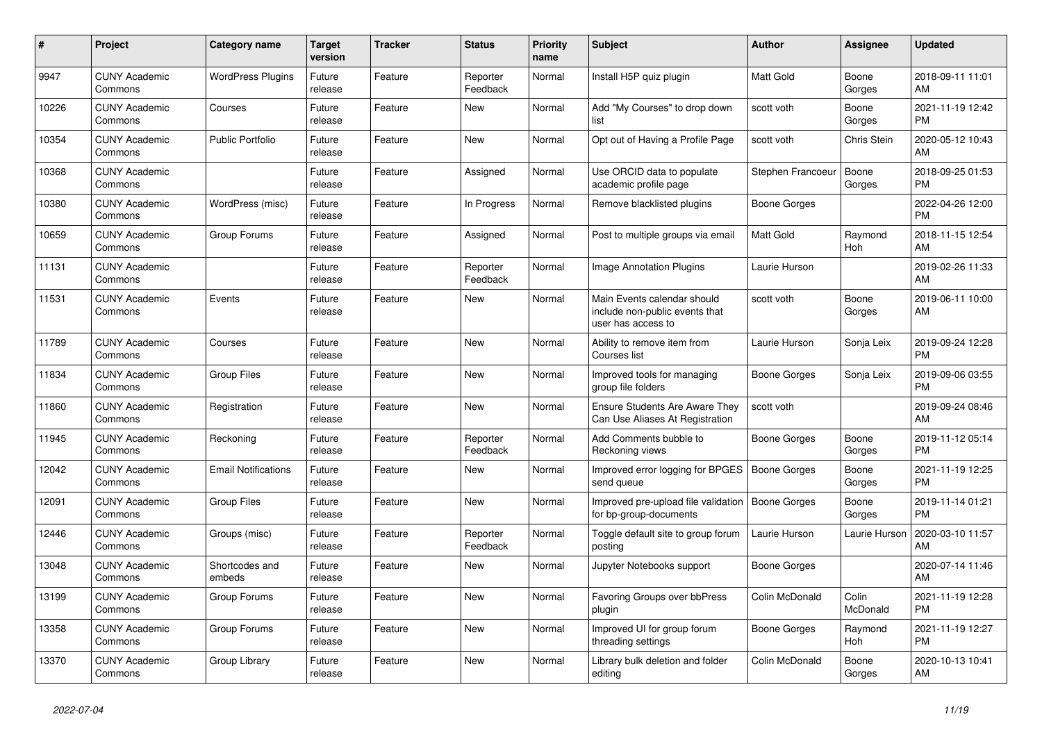| #     | <b>Project</b>                  | Category name              | <b>Target</b><br>version | <b>Tracker</b> | <b>Status</b>        | <b>Priority</b><br>name | <b>Subject</b>                                                                      | <b>Author</b>       | Assignee           | <b>Updated</b>                |
|-------|---------------------------------|----------------------------|--------------------------|----------------|----------------------|-------------------------|-------------------------------------------------------------------------------------|---------------------|--------------------|-------------------------------|
| 9947  | <b>CUNY Academic</b><br>Commons | <b>WordPress Plugins</b>   | Future<br>release        | Feature        | Reporter<br>Feedback | Normal                  | Install H5P quiz plugin                                                             | <b>Matt Gold</b>    | Boone<br>Gorges    | 2018-09-11 11:01<br>AM        |
| 10226 | <b>CUNY Academic</b><br>Commons | Courses                    | Future<br>release        | Feature        | New                  | Normal                  | Add "My Courses" to drop down<br>list                                               | scott voth          | Boone<br>Gorges    | 2021-11-19 12:42<br><b>PM</b> |
| 10354 | <b>CUNY Academic</b><br>Commons | <b>Public Portfolio</b>    | Future<br>release        | Feature        | <b>New</b>           | Normal                  | Opt out of Having a Profile Page                                                    | scott voth          | <b>Chris Stein</b> | 2020-05-12 10:43<br>AM        |
| 10368 | <b>CUNY Academic</b><br>Commons |                            | Future<br>release        | Feature        | Assigned             | Normal                  | Use ORCID data to populate<br>academic profile page                                 | Stephen Francoeur   | Boone<br>Gorges    | 2018-09-25 01:53<br><b>PM</b> |
| 10380 | <b>CUNY Academic</b><br>Commons | WordPress (misc)           | Future<br>release        | Feature        | In Progress          | Normal                  | Remove blacklisted plugins                                                          | Boone Gorges        |                    | 2022-04-26 12:00<br><b>PM</b> |
| 10659 | <b>CUNY Academic</b><br>Commons | Group Forums               | Future<br>release        | Feature        | Assigned             | Normal                  | Post to multiple groups via email                                                   | <b>Matt Gold</b>    | Raymond<br>Hoh     | 2018-11-15 12:54<br>AM        |
| 11131 | <b>CUNY Academic</b><br>Commons |                            | Future<br>release        | Feature        | Reporter<br>Feedback | Normal                  | <b>Image Annotation Plugins</b>                                                     | Laurie Hurson       |                    | 2019-02-26 11:33<br>AM        |
| 11531 | <b>CUNY Academic</b><br>Commons | Events                     | Future<br>release        | Feature        | <b>New</b>           | Normal                  | Main Events calendar should<br>include non-public events that<br>user has access to | scott voth          | Boone<br>Gorges    | 2019-06-11 10:00<br>AM        |
| 11789 | <b>CUNY Academic</b><br>Commons | Courses                    | Future<br>release        | Feature        | New                  | Normal                  | Ability to remove item from<br>Courses list                                         | Laurie Hurson       | Sonja Leix         | 2019-09-24 12:28<br><b>PM</b> |
| 11834 | <b>CUNY Academic</b><br>Commons | <b>Group Files</b>         | Future<br>release        | Feature        | <b>New</b>           | Normal                  | Improved tools for managing<br>group file folders                                   | Boone Gorges        | Sonja Leix         | 2019-09-06 03:55<br><b>PM</b> |
| 11860 | <b>CUNY Academic</b><br>Commons | Registration               | Future<br>release        | Feature        | New                  | Normal                  | <b>Ensure Students Are Aware They</b><br>Can Use Aliases At Registration            | scott voth          |                    | 2019-09-24 08:46<br>AM        |
| 11945 | <b>CUNY Academic</b><br>Commons | Reckoning                  | Future<br>release        | Feature        | Reporter<br>Feedback | Normal                  | Add Comments bubble to<br>Reckoning views                                           | Boone Gorges        | Boone<br>Gorges    | 2019-11-12 05:14<br><b>PM</b> |
| 12042 | <b>CUNY Academic</b><br>Commons | <b>Email Notifications</b> | Future<br>release        | Feature        | <b>New</b>           | Normal                  | Improved error logging for BPGES<br>send queue                                      | <b>Boone Gorges</b> | Boone<br>Gorges    | 2021-11-19 12:25<br><b>PM</b> |
| 12091 | <b>CUNY Academic</b><br>Commons | <b>Group Files</b>         | Future<br>release        | Feature        | <b>New</b>           | Normal                  | Improved pre-upload file validation<br>for bp-group-documents                       | <b>Boone Gorges</b> | Boone<br>Gorges    | 2019-11-14 01:21<br><b>PM</b> |
| 12446 | <b>CUNY Academic</b><br>Commons | Groups (misc)              | Future<br>release        | Feature        | Reporter<br>Feedback | Normal                  | Toggle default site to group forum<br>posting                                       | Laurie Hurson       | Laurie Hurson      | 2020-03-10 11:57<br>AM        |
| 13048 | <b>CUNY Academic</b><br>Commons | Shortcodes and<br>embeds   | Future<br>release        | Feature        | <b>New</b>           | Normal                  | Jupyter Notebooks support                                                           | Boone Gorges        |                    | 2020-07-14 11:46<br>AM        |
| 13199 | <b>CUNY Academic</b><br>Commons | Group Forums               | Future<br>release        | Feature        | <b>New</b>           | Normal                  | Favoring Groups over bbPress<br>plugin                                              | Colin McDonald      | Colin<br>McDonald  | 2021-11-19 12:28<br><b>PM</b> |
| 13358 | <b>CUNY Academic</b><br>Commons | Group Forums               | Future<br>release        | Feature        | New                  | Normal                  | Improved UI for group forum<br>threading settings                                   | Boone Gorges        | Raymond<br>Hoh     | 2021-11-19 12:27<br><b>PM</b> |
| 13370 | <b>CUNY Academic</b><br>Commons | Group Library              | Future<br>release        | Feature        | <b>New</b>           | Normal                  | Library bulk deletion and folder<br>editing                                         | Colin McDonald      | Boone<br>Gorges    | 2020-10-13 10:41<br>AM        |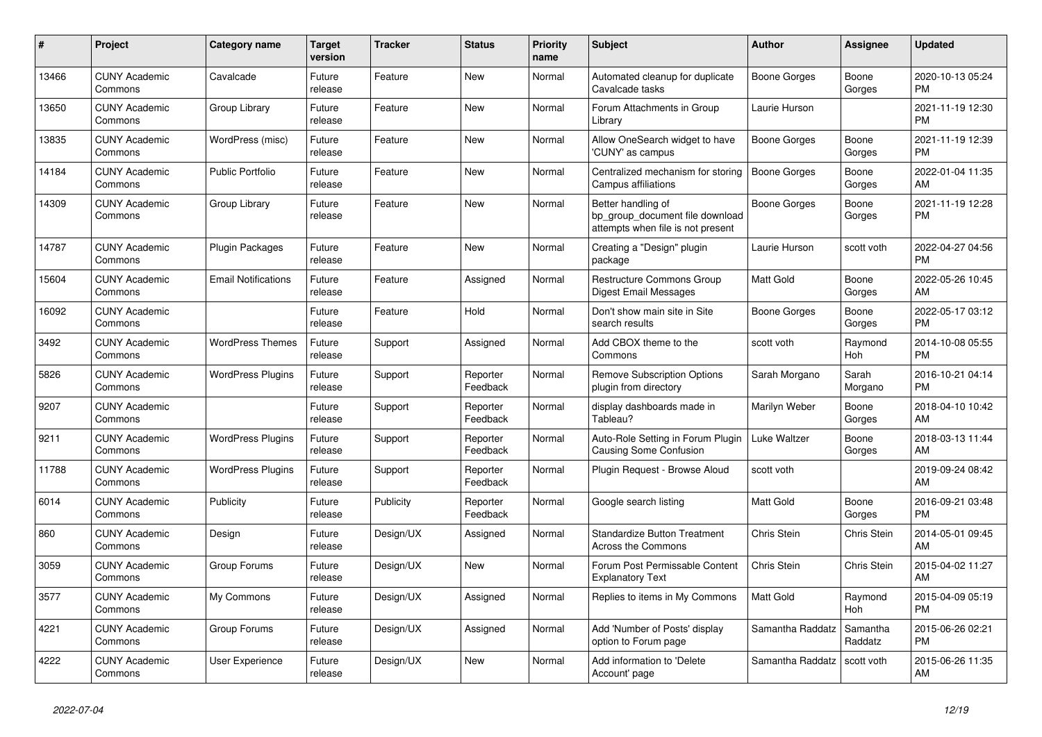| #     | <b>Project</b>                  | Category name              | Target<br>version | <b>Tracker</b> | <b>Status</b>        | <b>Priority</b><br>name | <b>Subject</b>                                                                             | <b>Author</b>       | Assignee            | <b>Updated</b>                |
|-------|---------------------------------|----------------------------|-------------------|----------------|----------------------|-------------------------|--------------------------------------------------------------------------------------------|---------------------|---------------------|-------------------------------|
| 13466 | <b>CUNY Academic</b><br>Commons | Cavalcade                  | Future<br>release | Feature        | New                  | Normal                  | Automated cleanup for duplicate<br>Cavalcade tasks                                         | Boone Gorges        | Boone<br>Gorges     | 2020-10-13 05:24<br><b>PM</b> |
| 13650 | <b>CUNY Academic</b><br>Commons | Group Library              | Future<br>release | Feature        | New                  | Normal                  | Forum Attachments in Group<br>Library                                                      | Laurie Hurson       |                     | 2021-11-19 12:30<br><b>PM</b> |
| 13835 | <b>CUNY Academic</b><br>Commons | WordPress (misc)           | Future<br>release | Feature        | New                  | Normal                  | Allow OneSearch widget to have<br>'CUNY' as campus                                         | Boone Gorges        | Boone<br>Gorges     | 2021-11-19 12:39<br><b>PM</b> |
| 14184 | <b>CUNY Academic</b><br>Commons | <b>Public Portfolio</b>    | Future<br>release | Feature        | <b>New</b>           | Normal                  | Centralized mechanism for storing<br>Campus affiliations                                   | <b>Boone Gorges</b> | Boone<br>Gorges     | 2022-01-04 11:35<br>AM        |
| 14309 | <b>CUNY Academic</b><br>Commons | Group Library              | Future<br>release | Feature        | New                  | Normal                  | Better handling of<br>bp group document file download<br>attempts when file is not present | <b>Boone Gorges</b> | Boone<br>Gorges     | 2021-11-19 12:28<br>PM.       |
| 14787 | <b>CUNY Academic</b><br>Commons | Plugin Packages            | Future<br>release | Feature        | New                  | Normal                  | Creating a "Design" plugin<br>package                                                      | Laurie Hurson       | scott voth          | 2022-04-27 04:56<br><b>PM</b> |
| 15604 | <b>CUNY Academic</b><br>Commons | <b>Email Notifications</b> | Future<br>release | Feature        | Assigned             | Normal                  | Restructure Commons Group<br>Digest Email Messages                                         | Matt Gold           | Boone<br>Gorges     | 2022-05-26 10:45<br>AM        |
| 16092 | <b>CUNY Academic</b><br>Commons |                            | Future<br>release | Feature        | Hold                 | Normal                  | Don't show main site in Site<br>search results                                             | Boone Gorges        | Boone<br>Gorges     | 2022-05-17 03:12<br><b>PM</b> |
| 3492  | <b>CUNY Academic</b><br>Commons | <b>WordPress Themes</b>    | Future<br>release | Support        | Assigned             | Normal                  | Add CBOX theme to the<br>Commons                                                           | scott voth          | Raymond<br>Hoh      | 2014-10-08 05:55<br><b>PM</b> |
| 5826  | <b>CUNY Academic</b><br>Commons | <b>WordPress Plugins</b>   | Future<br>release | Support        | Reporter<br>Feedback | Normal                  | <b>Remove Subscription Options</b><br>plugin from directory                                | Sarah Morgano       | Sarah<br>Morgano    | 2016-10-21 04:14<br><b>PM</b> |
| 9207  | <b>CUNY Academic</b><br>Commons |                            | Future<br>release | Support        | Reporter<br>Feedback | Normal                  | display dashboards made in<br>Tableau?                                                     | Marilyn Weber       | Boone<br>Gorges     | 2018-04-10 10:42<br>AM        |
| 9211  | <b>CUNY Academic</b><br>Commons | <b>WordPress Plugins</b>   | Future<br>release | Support        | Reporter<br>Feedback | Normal                  | Auto-Role Setting in Forum Plugin<br><b>Causing Some Confusion</b>                         | Luke Waltzer        | Boone<br>Gorges     | 2018-03-13 11:44<br>AM        |
| 11788 | <b>CUNY Academic</b><br>Commons | <b>WordPress Plugins</b>   | Future<br>release | Support        | Reporter<br>Feedback | Normal                  | Plugin Request - Browse Aloud                                                              | scott voth          |                     | 2019-09-24 08:42<br>AM        |
| 6014  | <b>CUNY Academic</b><br>Commons | Publicity                  | Future<br>release | Publicity      | Reporter<br>Feedback | Normal                  | Google search listing                                                                      | Matt Gold           | Boone<br>Gorges     | 2016-09-21 03:48<br><b>PM</b> |
| 860   | <b>CUNY Academic</b><br>Commons | Design                     | Future<br>release | Design/UX      | Assigned             | Normal                  | <b>Standardize Button Treatment</b><br>Across the Commons                                  | Chris Stein         | Chris Stein         | 2014-05-01 09:45<br><b>AM</b> |
| 3059  | <b>CUNY Academic</b><br>Commons | Group Forums               | Future<br>release | Design/UX      | <b>New</b>           | Normal                  | Forum Post Permissable Content<br><b>Explanatory Text</b>                                  | Chris Stein         | Chris Stein         | 2015-04-02 11:27<br>AM        |
| 3577  | <b>CUNY Academic</b><br>Commons | My Commons                 | Future<br>release | Design/UX      | Assigned             | Normal                  | Replies to items in My Commons                                                             | Matt Gold           | Raymond<br>Hoh      | 2015-04-09 05:19<br><b>PM</b> |
| 4221  | <b>CUNY Academic</b><br>Commons | Group Forums               | Future<br>release | Design/UX      | Assigned             | Normal                  | Add 'Number of Posts' display<br>option to Forum page                                      | Samantha Raddatz    | Samantha<br>Raddatz | 2015-06-26 02:21<br><b>PM</b> |
| 4222  | <b>CUNY Academic</b><br>Commons | User Experience            | Future<br>release | Design/UX      | <b>New</b>           | Normal                  | Add information to 'Delete<br>Account' page                                                | Samantha Raddatz    | scott voth          | 2015-06-26 11:35<br>AM        |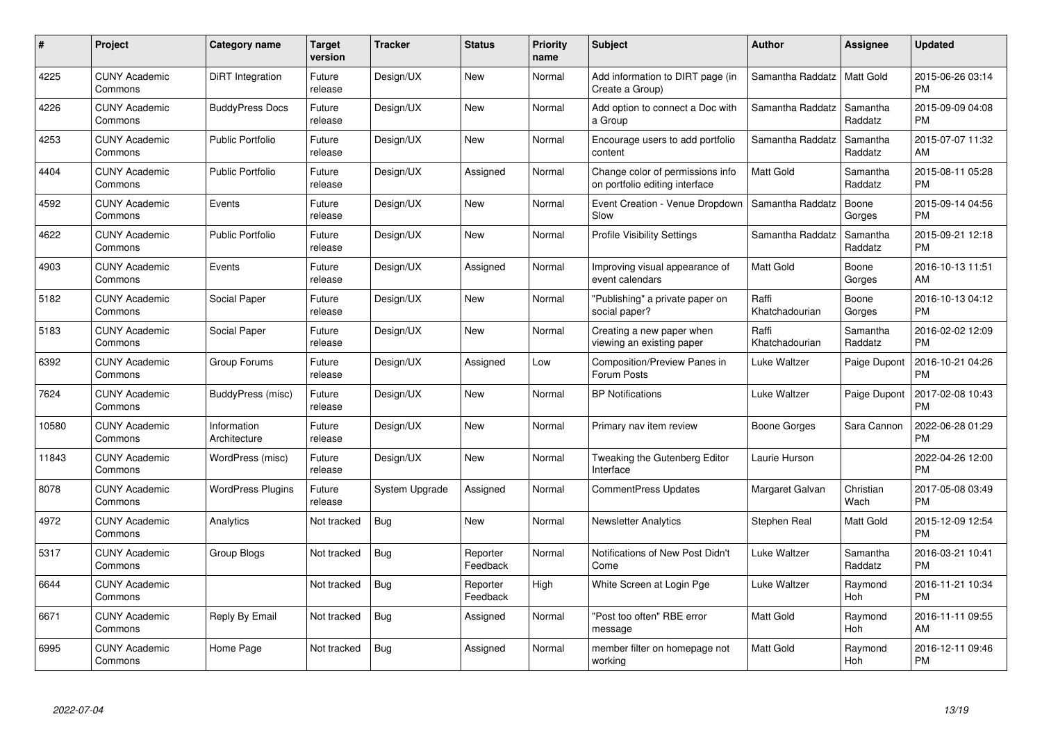| $\#$  | Project                         | <b>Category name</b>        | Target<br>version | <b>Tracker</b> | <b>Status</b>        | Priority<br>name | <b>Subject</b>                                                     | <b>Author</b>           | <b>Assignee</b>     | <b>Updated</b>                |
|-------|---------------------------------|-----------------------------|-------------------|----------------|----------------------|------------------|--------------------------------------------------------------------|-------------------------|---------------------|-------------------------------|
| 4225  | <b>CUNY Academic</b><br>Commons | DiRT Integration            | Future<br>release | Design/UX      | <b>New</b>           | Normal           | Add information to DIRT page (in<br>Create a Group)                | Samantha Raddatz        | <b>Matt Gold</b>    | 2015-06-26 03:14<br><b>PM</b> |
| 4226  | <b>CUNY Academic</b><br>Commons | <b>BuddyPress Docs</b>      | Future<br>release | Design/UX      | <b>New</b>           | Normal           | Add option to connect a Doc with<br>a Group                        | Samantha Raddatz        | Samantha<br>Raddatz | 2015-09-09 04:08<br><b>PM</b> |
| 4253  | <b>CUNY Academic</b><br>Commons | <b>Public Portfolio</b>     | Future<br>release | Design/UX      | <b>New</b>           | Normal           | Encourage users to add portfolio<br>content                        | Samantha Raddatz        | Samantha<br>Raddatz | 2015-07-07 11:32<br>AM        |
| 4404  | <b>CUNY Academic</b><br>Commons | <b>Public Portfolio</b>     | Future<br>release | Design/UX      | Assigned             | Normal           | Change color of permissions info<br>on portfolio editing interface | Matt Gold               | Samantha<br>Raddatz | 2015-08-11 05:28<br><b>PM</b> |
| 4592  | <b>CUNY Academic</b><br>Commons | Events                      | Future<br>release | Design/UX      | <b>New</b>           | Normal           | Event Creation - Venue Dropdown<br>Slow                            | Samantha Raddatz        | Boone<br>Gorges     | 2015-09-14 04:56<br><b>PM</b> |
| 4622  | <b>CUNY Academic</b><br>Commons | <b>Public Portfolio</b>     | Future<br>release | Design/UX      | <b>New</b>           | Normal           | <b>Profile Visibility Settings</b>                                 | Samantha Raddatz        | Samantha<br>Raddatz | 2015-09-21 12:18<br><b>PM</b> |
| 4903  | <b>CUNY Academic</b><br>Commons | Events                      | Future<br>release | Design/UX      | Assigned             | Normal           | Improving visual appearance of<br>event calendars                  | Matt Gold               | Boone<br>Gorges     | 2016-10-13 11:51<br>AM        |
| 5182  | <b>CUNY Academic</b><br>Commons | Social Paper                | Future<br>release | Design/UX      | <b>New</b>           | Normal           | "Publishing" a private paper on<br>social paper?                   | Raffi<br>Khatchadourian | Boone<br>Gorges     | 2016-10-13 04:12<br><b>PM</b> |
| 5183  | <b>CUNY Academic</b><br>Commons | Social Paper                | Future<br>release | Design/UX      | New                  | Normal           | Creating a new paper when<br>viewing an existing paper             | Raffi<br>Khatchadourian | Samantha<br>Raddatz | 2016-02-02 12:09<br><b>PM</b> |
| 6392  | <b>CUNY Academic</b><br>Commons | Group Forums                | Future<br>release | Design/UX      | Assigned             | Low              | <b>Composition/Preview Panes in</b><br>Forum Posts                 | Luke Waltzer            | Paige Dupont        | 2016-10-21 04:26<br><b>PM</b> |
| 7624  | <b>CUNY Academic</b><br>Commons | BuddyPress (misc)           | Future<br>release | Design/UX      | New                  | Normal           | <b>BP Notifications</b>                                            | Luke Waltzer            | Paige Dupont        | 2017-02-08 10:43<br><b>PM</b> |
| 10580 | <b>CUNY Academic</b><br>Commons | Information<br>Architecture | Future<br>release | Design/UX      | New                  | Normal           | Primary nav item review                                            | Boone Gorges            | Sara Cannon         | 2022-06-28 01:29<br><b>PM</b> |
| 11843 | <b>CUNY Academic</b><br>Commons | WordPress (misc)            | Future<br>release | Design/UX      | New                  | Normal           | Tweaking the Gutenberg Editor<br>Interface                         | Laurie Hurson           |                     | 2022-04-26 12:00<br><b>PM</b> |
| 8078  | <b>CUNY Academic</b><br>Commons | <b>WordPress Plugins</b>    | Future<br>release | System Upgrade | Assigned             | Normal           | <b>CommentPress Updates</b>                                        | Margaret Galvan         | Christian<br>Wach   | 2017-05-08 03:49<br><b>PM</b> |
| 4972  | <b>CUNY Academic</b><br>Commons | Analytics                   | Not tracked       | Bug            | New                  | Normal           | <b>Newsletter Analytics</b>                                        | Stephen Real            | Matt Gold           | 2015-12-09 12:54<br><b>PM</b> |
| 5317  | <b>CUNY Academic</b><br>Commons | Group Blogs                 | Not tracked       | <b>Bug</b>     | Reporter<br>Feedback | Normal           | Notifications of New Post Didn't<br>Come                           | Luke Waltzer            | Samantha<br>Raddatz | 2016-03-21 10:41<br><b>PM</b> |
| 6644  | <b>CUNY Academic</b><br>Commons |                             | Not tracked       | Bug            | Reporter<br>Feedback | High             | White Screen at Login Pge                                          | Luke Waltzer            | Raymond<br>Hoh      | 2016-11-21 10:34<br><b>PM</b> |
| 6671  | <b>CUNY Academic</b><br>Commons | Reply By Email              | Not tracked       | Bug            | Assigned             | Normal           | "Post too often" RBE error<br>message                              | Matt Gold               | Raymond<br>Hoh      | 2016-11-11 09:55<br>AM        |
| 6995  | <b>CUNY Academic</b><br>Commons | Home Page                   | Not tracked       | <b>Bug</b>     | Assigned             | Normal           | member filter on homepage not<br>working                           | <b>Matt Gold</b>        | Raymond<br>Hoh      | 2016-12-11 09:46<br><b>PM</b> |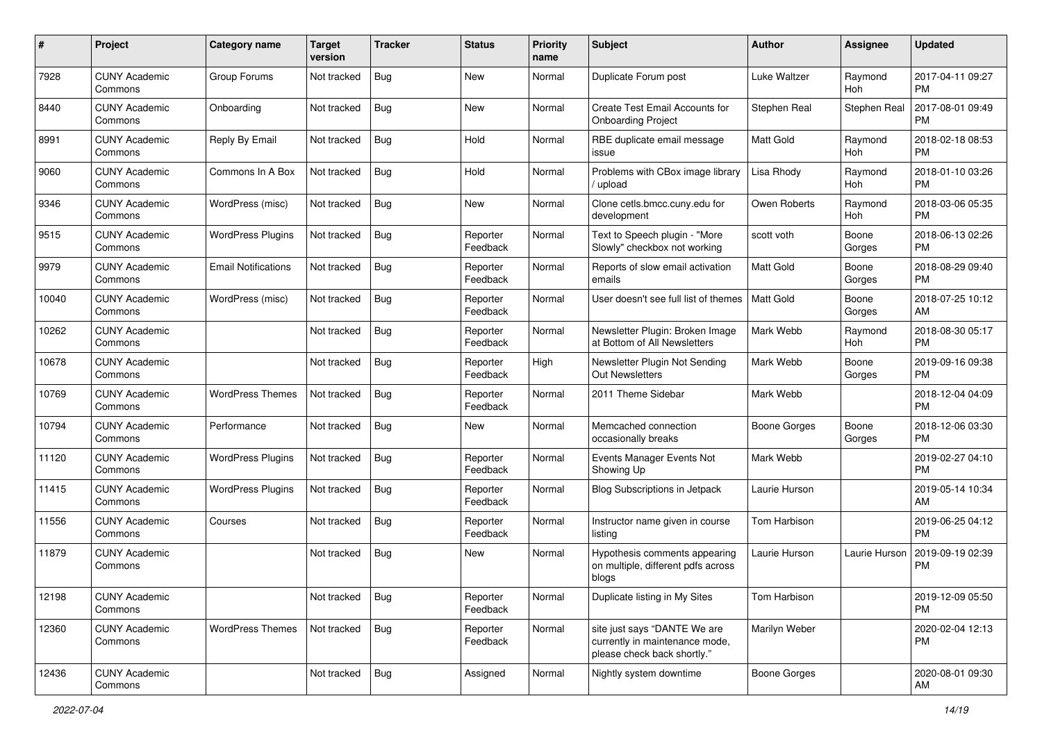| #     | Project                         | <b>Category name</b>       | <b>Target</b><br>version | <b>Tracker</b> | <b>Status</b>        | Priority<br>name | <b>Subject</b>                                                                                | <b>Author</b>    | Assignee        | <b>Updated</b>                |
|-------|---------------------------------|----------------------------|--------------------------|----------------|----------------------|------------------|-----------------------------------------------------------------------------------------------|------------------|-----------------|-------------------------------|
| 7928  | <b>CUNY Academic</b><br>Commons | Group Forums               | Not tracked              | <b>Bug</b>     | New                  | Normal           | Duplicate Forum post                                                                          | Luke Waltzer     | Raymond<br>Hoh  | 2017-04-11 09:27<br><b>PM</b> |
| 8440  | <b>CUNY Academic</b><br>Commons | Onboarding                 | Not tracked              | <b>Bug</b>     | New                  | Normal           | Create Test Email Accounts for<br><b>Onboarding Project</b>                                   | Stephen Real     | Stephen Real    | 2017-08-01 09:49<br><b>PM</b> |
| 8991  | <b>CUNY Academic</b><br>Commons | Reply By Email             | Not tracked              | <b>Bug</b>     | Hold                 | Normal           | RBE duplicate email message<br>issue                                                          | <b>Matt Gold</b> | Raymond<br>Hoh  | 2018-02-18 08:53<br><b>PM</b> |
| 9060  | <b>CUNY Academic</b><br>Commons | Commons In A Box           | Not tracked              | Bug            | Hold                 | Normal           | Problems with CBox image library<br>/ upload                                                  | Lisa Rhody       | Raymond<br>Hoh  | 2018-01-10 03:26<br><b>PM</b> |
| 9346  | <b>CUNY Academic</b><br>Commons | WordPress (misc)           | Not tracked              | Bug            | New                  | Normal           | Clone cetls.bmcc.cuny.edu for<br>development                                                  | Owen Roberts     | Raymond<br>Hoh  | 2018-03-06 05:35<br><b>PM</b> |
| 9515  | <b>CUNY Academic</b><br>Commons | <b>WordPress Plugins</b>   | Not tracked              | <b>Bug</b>     | Reporter<br>Feedback | Normal           | Text to Speech plugin - "More<br>Slowly" checkbox not working                                 | scott voth       | Boone<br>Gorges | 2018-06-13 02:26<br><b>PM</b> |
| 9979  | <b>CUNY Academic</b><br>Commons | <b>Email Notifications</b> | Not tracked              | Bug            | Reporter<br>Feedback | Normal           | Reports of slow email activation<br>emails                                                    | Matt Gold        | Boone<br>Gorges | 2018-08-29 09:40<br><b>PM</b> |
| 10040 | <b>CUNY Academic</b><br>Commons | WordPress (misc)           | Not tracked              | <b>Bug</b>     | Reporter<br>Feedback | Normal           | User doesn't see full list of themes                                                          | <b>Matt Gold</b> | Boone<br>Gorges | 2018-07-25 10:12<br>AM        |
| 10262 | <b>CUNY Academic</b><br>Commons |                            | Not tracked              | Bug            | Reporter<br>Feedback | Normal           | Newsletter Plugin: Broken Image<br>at Bottom of All Newsletters                               | Mark Webb        | Raymond<br>Hoh  | 2018-08-30 05:17<br><b>PM</b> |
| 10678 | <b>CUNY Academic</b><br>Commons |                            | Not tracked              | <b>Bug</b>     | Reporter<br>Feedback | High             | Newsletter Plugin Not Sending<br><b>Out Newsletters</b>                                       | Mark Webb        | Boone<br>Gorges | 2019-09-16 09:38<br><b>PM</b> |
| 10769 | <b>CUNY Academic</b><br>Commons | <b>WordPress Themes</b>    | Not tracked              | Bug            | Reporter<br>Feedback | Normal           | 2011 Theme Sidebar                                                                            | Mark Webb        |                 | 2018-12-04 04:09<br><b>PM</b> |
| 10794 | <b>CUNY Academic</b><br>Commons | Performance                | Not tracked              | Bug            | New                  | Normal           | Memcached connection<br>occasionally breaks                                                   | Boone Gorges     | Boone<br>Gorges | 2018-12-06 03:30<br><b>PM</b> |
| 11120 | <b>CUNY Academic</b><br>Commons | <b>WordPress Plugins</b>   | Not tracked              | Bug            | Reporter<br>Feedback | Normal           | Events Manager Events Not<br>Showing Up                                                       | Mark Webb        |                 | 2019-02-27 04:10<br><b>PM</b> |
| 11415 | <b>CUNY Academic</b><br>Commons | <b>WordPress Plugins</b>   | Not tracked              | Bug            | Reporter<br>Feedback | Normal           | Blog Subscriptions in Jetpack                                                                 | Laurie Hurson    |                 | 2019-05-14 10:34<br>AM        |
| 11556 | <b>CUNY Academic</b><br>Commons | Courses                    | Not tracked              | Bug            | Reporter<br>Feedback | Normal           | Instructor name given in course<br>listing                                                    | Tom Harbison     |                 | 2019-06-25 04:12<br><b>PM</b> |
| 11879 | <b>CUNY Academic</b><br>Commons |                            | Not tracked              | Bug            | New                  | Normal           | Hypothesis comments appearing<br>on multiple, different pdfs across<br>blogs                  | Laurie Hurson    | Laurie Hurson   | 2019-09-19 02:39<br>PM        |
| 12198 | <b>CUNY Academic</b><br>Commons |                            | Not tracked              | Bug            | Reporter<br>Feedback | Normal           | Duplicate listing in My Sites                                                                 | Tom Harbison     |                 | 2019-12-09 05:50<br><b>PM</b> |
| 12360 | <b>CUNY Academic</b><br>Commons | <b>WordPress Themes</b>    | Not tracked              | Bug            | Reporter<br>Feedback | Normal           | site just says "DANTE We are<br>currently in maintenance mode,<br>please check back shortly." | Marilyn Weber    |                 | 2020-02-04 12:13<br><b>PM</b> |
| 12436 | <b>CUNY Academic</b><br>Commons |                            | Not tracked              | Bug            | Assigned             | Normal           | Nightly system downtime                                                                       | Boone Gorges     |                 | 2020-08-01 09:30<br>AM        |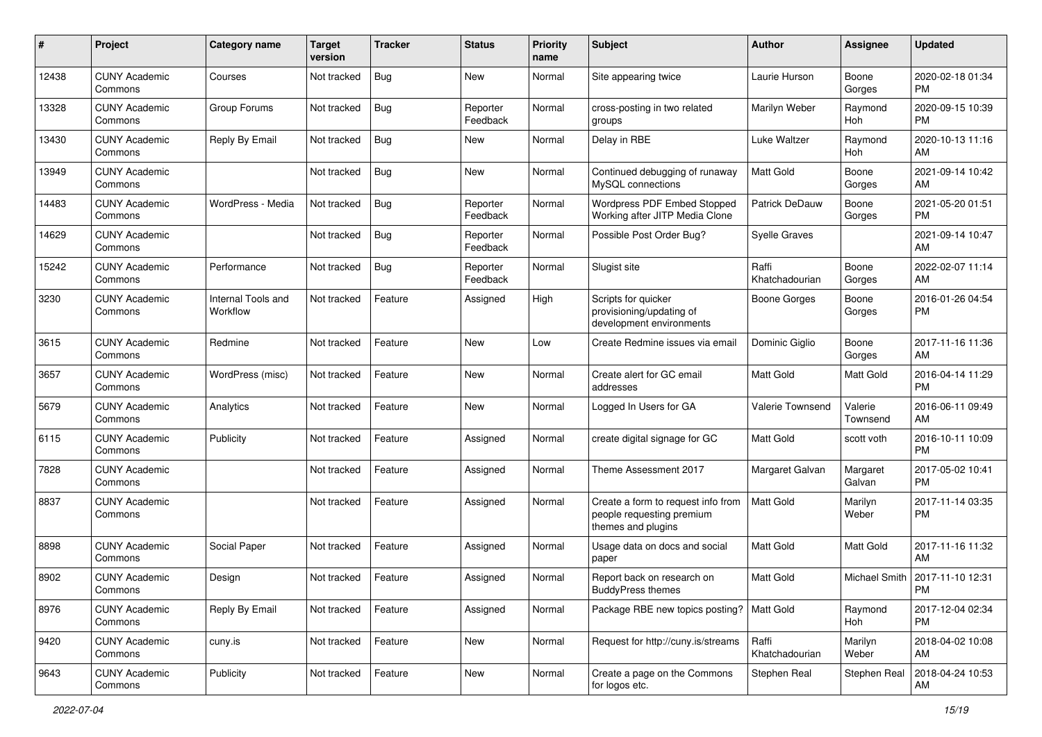| #     | Project                         | <b>Category name</b>           | <b>Target</b><br>version | <b>Tracker</b> | <b>Status</b>        | Priority<br>name | <b>Subject</b>                                                                        | <b>Author</b>           | <b>Assignee</b>     | <b>Updated</b>                         |
|-------|---------------------------------|--------------------------------|--------------------------|----------------|----------------------|------------------|---------------------------------------------------------------------------------------|-------------------------|---------------------|----------------------------------------|
| 12438 | <b>CUNY Academic</b><br>Commons | Courses                        | Not tracked              | <b>Bug</b>     | New                  | Normal           | Site appearing twice                                                                  | Laurie Hurson           | Boone<br>Gorges     | 2020-02-18 01:34<br>PM.                |
| 13328 | <b>CUNY Academic</b><br>Commons | Group Forums                   | Not tracked              | Bug            | Reporter<br>Feedback | Normal           | cross-posting in two related<br>groups                                                | Marilyn Weber           | Raymond<br>Hoh      | 2020-09-15 10:39<br><b>PM</b>          |
| 13430 | <b>CUNY Academic</b><br>Commons | Reply By Email                 | Not tracked              | Bug            | New                  | Normal           | Delay in RBE                                                                          | Luke Waltzer            | Raymond<br>Hoh      | 2020-10-13 11:16<br>AM                 |
| 13949 | <b>CUNY Academic</b><br>Commons |                                | Not tracked              | Bug            | New                  | Normal           | Continued debugging of runaway<br>MySQL connections                                   | Matt Gold               | Boone<br>Gorges     | 2021-09-14 10:42<br>AM                 |
| 14483 | <b>CUNY Academic</b><br>Commons | WordPress - Media              | Not tracked              | Bug            | Reporter<br>Feedback | Normal           | Wordpress PDF Embed Stopped<br>Working after JITP Media Clone                         | Patrick DeDauw          | Boone<br>Gorges     | 2021-05-20 01:51<br><b>PM</b>          |
| 14629 | <b>CUNY Academic</b><br>Commons |                                | Not tracked              | Bug            | Reporter<br>Feedback | Normal           | Possible Post Order Bug?                                                              | <b>Syelle Graves</b>    |                     | 2021-09-14 10:47<br>AM.                |
| 15242 | <b>CUNY Academic</b><br>Commons | Performance                    | Not tracked              | Bug            | Reporter<br>Feedback | Normal           | Slugist site                                                                          | Raffi<br>Khatchadourian | Boone<br>Gorges     | 2022-02-07 11:14<br>AM.                |
| 3230  | <b>CUNY Academic</b><br>Commons | Internal Tools and<br>Workflow | Not tracked              | Feature        | Assigned             | High             | Scripts for quicker<br>provisioning/updating of<br>development environments           | Boone Gorges            | Boone<br>Gorges     | 2016-01-26 04:54<br>PM                 |
| 3615  | <b>CUNY Academic</b><br>Commons | Redmine                        | Not tracked              | Feature        | New                  | Low              | Create Redmine issues via email                                                       | Dominic Giglio          | Boone<br>Gorges     | 2017-11-16 11:36<br>AM.                |
| 3657  | <b>CUNY Academic</b><br>Commons | WordPress (misc)               | Not tracked              | Feature        | New                  | Normal           | Create alert for GC email<br>addresses                                                | Matt Gold               | Matt Gold           | 2016-04-14 11:29<br><b>PM</b>          |
| 5679  | <b>CUNY Academic</b><br>Commons | Analytics                      | Not tracked              | Feature        | New                  | Normal           | Logged In Users for GA                                                                | Valerie Townsend        | Valerie<br>Townsend | 2016-06-11 09:49<br>AM                 |
| 6115  | <b>CUNY Academic</b><br>Commons | Publicity                      | Not tracked              | Feature        | Assigned             | Normal           | create digital signage for GC                                                         | Matt Gold               | scott voth          | 2016-10-11 10:09<br>PM.                |
| 7828  | <b>CUNY Academic</b><br>Commons |                                | Not tracked              | Feature        | Assigned             | Normal           | Theme Assessment 2017                                                                 | Margaret Galvan         | Margaret<br>Galvan  | 2017-05-02 10:41<br><b>PM</b>          |
| 8837  | <b>CUNY Academic</b><br>Commons |                                | Not tracked              | Feature        | Assigned             | Normal           | Create a form to request info from<br>people requesting premium<br>themes and plugins | <b>Matt Gold</b>        | Marilyn<br>Weber    | 2017-11-14 03:35<br><b>PM</b>          |
| 8898  | <b>CUNY Academic</b><br>Commons | Social Paper                   | Not tracked              | Feature        | Assigned             | Normal           | Usage data on docs and social<br>paper                                                | <b>Matt Gold</b>        | Matt Gold           | 2017-11-16 11:32<br>AM.                |
| 8902  | <b>CUNY Academic</b><br>Commons | Design                         | Not tracked              | Feature        | Assigned             | Normal           | Report back on research on<br><b>BuddyPress themes</b>                                | Matt Gold               |                     | Michael Smith   2017-11-10 12:31<br>PM |
| 8976  | <b>CUNY Academic</b><br>Commons | Reply By Email                 | Not tracked              | Feature        | Assigned             | Normal           | Package RBE new topics posting?                                                       | Matt Gold               | Raymond<br>Hoh      | 2017-12-04 02:34<br>PM                 |
| 9420  | <b>CUNY Academic</b><br>Commons | cuny.is                        | Not tracked              | Feature        | New                  | Normal           | Request for http://cuny.is/streams                                                    | Raffi<br>Khatchadourian | Marilyn<br>Weber    | 2018-04-02 10:08<br>AM                 |
| 9643  | <b>CUNY Academic</b><br>Commons | Publicity                      | Not tracked              | Feature        | New                  | Normal           | Create a page on the Commons<br>for logos etc.                                        | Stephen Real            | Stephen Real        | 2018-04-24 10:53<br>AM                 |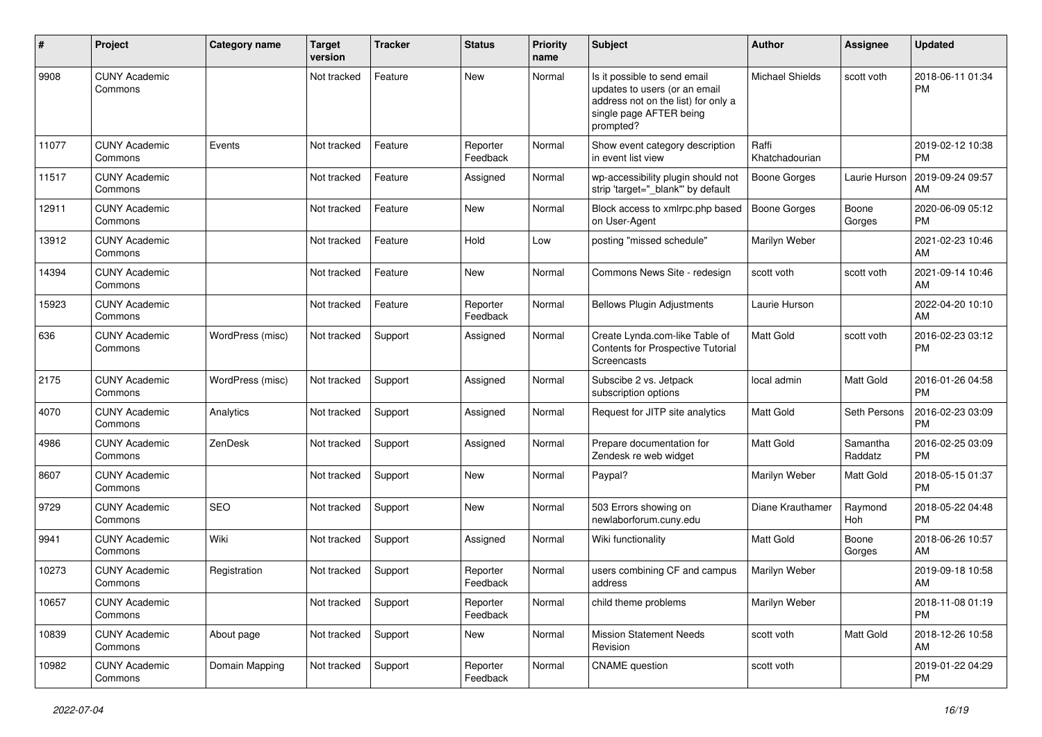| #     | Project                         | Category name    | <b>Target</b><br>version | <b>Tracker</b> | <b>Status</b>        | Priority<br>name | Subject                                                                                                                                      | Author                  | Assignee            | <b>Updated</b>                |
|-------|---------------------------------|------------------|--------------------------|----------------|----------------------|------------------|----------------------------------------------------------------------------------------------------------------------------------------------|-------------------------|---------------------|-------------------------------|
| 9908  | <b>CUNY Academic</b><br>Commons |                  | Not tracked              | Feature        | <b>New</b>           | Normal           | Is it possible to send email<br>updates to users (or an email<br>address not on the list) for only a<br>single page AFTER being<br>prompted? | <b>Michael Shields</b>  | scott voth          | 2018-06-11 01:34<br><b>PM</b> |
| 11077 | <b>CUNY Academic</b><br>Commons | Events           | Not tracked              | Feature        | Reporter<br>Feedback | Normal           | Show event category description<br>in event list view                                                                                        | Raffi<br>Khatchadourian |                     | 2019-02-12 10:38<br><b>PM</b> |
| 11517 | <b>CUNY Academic</b><br>Commons |                  | Not tracked              | Feature        | Assigned             | Normal           | wp-accessibility plugin should not<br>strip 'target="_blank" by default                                                                      | <b>Boone Gorges</b>     | Laurie Hurson       | 2019-09-24 09:57<br>AM        |
| 12911 | <b>CUNY Academic</b><br>Commons |                  | Not tracked              | Feature        | <b>New</b>           | Normal           | Block access to xmlrpc.php based<br>on User-Agent                                                                                            | <b>Boone Gorges</b>     | Boone<br>Gorges     | 2020-06-09 05:12<br>PM        |
| 13912 | <b>CUNY Academic</b><br>Commons |                  | Not tracked              | Feature        | Hold                 | Low              | posting "missed schedule"                                                                                                                    | Marilyn Weber           |                     | 2021-02-23 10:46<br>AM        |
| 14394 | <b>CUNY Academic</b><br>Commons |                  | Not tracked              | Feature        | New                  | Normal           | Commons News Site - redesign                                                                                                                 | scott voth              | scott voth          | 2021-09-14 10:46<br>AM        |
| 15923 | <b>CUNY Academic</b><br>Commons |                  | Not tracked              | Feature        | Reporter<br>Feedback | Normal           | <b>Bellows Plugin Adjustments</b>                                                                                                            | Laurie Hurson           |                     | 2022-04-20 10:10<br>AM        |
| 636   | <b>CUNY Academic</b><br>Commons | WordPress (misc) | Not tracked              | Support        | Assigned             | Normal           | Create Lynda.com-like Table of<br>Contents for Prospective Tutorial<br>Screencasts                                                           | <b>Matt Gold</b>        | scott voth          | 2016-02-23 03:12<br><b>PM</b> |
| 2175  | <b>CUNY Academic</b><br>Commons | WordPress (misc) | Not tracked              | Support        | Assigned             | Normal           | Subscibe 2 vs. Jetpack<br>subscription options                                                                                               | local admin             | <b>Matt Gold</b>    | 2016-01-26 04:58<br><b>PM</b> |
| 4070  | <b>CUNY Academic</b><br>Commons | Analytics        | Not tracked              | Support        | Assigned             | Normal           | Request for JITP site analytics                                                                                                              | <b>Matt Gold</b>        | Seth Persons        | 2016-02-23 03:09<br><b>PM</b> |
| 4986  | <b>CUNY Academic</b><br>Commons | ZenDesk          | Not tracked              | Support        | Assigned             | Normal           | Prepare documentation for<br>Zendesk re web widget                                                                                           | <b>Matt Gold</b>        | Samantha<br>Raddatz | 2016-02-25 03:09<br><b>PM</b> |
| 8607  | <b>CUNY Academic</b><br>Commons |                  | Not tracked              | Support        | New                  | Normal           | Paypal?                                                                                                                                      | Marilyn Weber           | <b>Matt Gold</b>    | 2018-05-15 01:37<br><b>PM</b> |
| 9729  | <b>CUNY Academic</b><br>Commons | <b>SEO</b>       | Not tracked              | Support        | New                  | Normal           | 503 Errors showing on<br>newlaborforum.cuny.edu                                                                                              | Diane Krauthamer        | Raymond<br>Hoh      | 2018-05-22 04:48<br><b>PM</b> |
| 9941  | <b>CUNY Academic</b><br>Commons | Wiki             | Not tracked              | Support        | Assigned             | Normal           | Wiki functionality                                                                                                                           | <b>Matt Gold</b>        | Boone<br>Gorges     | 2018-06-26 10:57<br>AM        |
| 10273 | <b>CUNY Academic</b><br>Commons | Registration     | Not tracked              | Support        | Reporter<br>Feedback | Normal           | users combining CF and campus<br>address                                                                                                     | Marilyn Weber           |                     | 2019-09-18 10:58<br>AM        |
| 10657 | <b>CUNY Academic</b><br>Commons |                  | Not tracked              | Support        | Reporter<br>Feedback | Normal           | child theme problems                                                                                                                         | Marilyn Weber           |                     | 2018-11-08 01:19<br><b>PM</b> |
| 10839 | <b>CUNY Academic</b><br>Commons | About page       | Not tracked              | Support        | New                  | Normal           | <b>Mission Statement Needs</b><br>Revision                                                                                                   | scott voth              | <b>Matt Gold</b>    | 2018-12-26 10:58<br>AM        |
| 10982 | <b>CUNY Academic</b><br>Commons | Domain Mapping   | Not tracked              | Support        | Reporter<br>Feedback | Normal           | <b>CNAME</b> question                                                                                                                        | scott voth              |                     | 2019-01-22 04:29<br>PM        |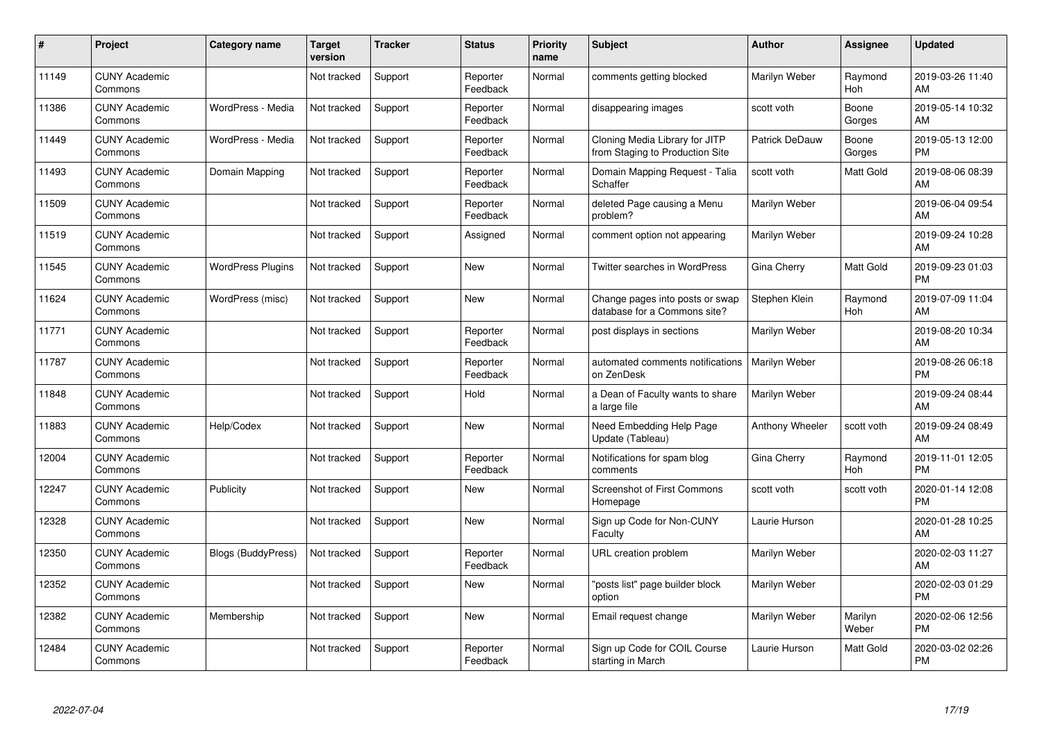| #     | Project                         | <b>Category name</b>      | <b>Target</b><br>version | <b>Tracker</b> | <b>Status</b>        | <b>Priority</b><br>name | <b>Subject</b>                                                    | <b>Author</b>         | <b>Assignee</b>  | <b>Updated</b>                |
|-------|---------------------------------|---------------------------|--------------------------|----------------|----------------------|-------------------------|-------------------------------------------------------------------|-----------------------|------------------|-------------------------------|
| 11149 | <b>CUNY Academic</b><br>Commons |                           | Not tracked              | Support        | Reporter<br>Feedback | Normal                  | comments getting blocked                                          | Marilyn Weber         | Raymond<br>Hoh   | 2019-03-26 11:40<br>AM        |
| 11386 | <b>CUNY Academic</b><br>Commons | WordPress - Media         | Not tracked              | Support        | Reporter<br>Feedback | Normal                  | disappearing images                                               | scott voth            | Boone<br>Gorges  | 2019-05-14 10:32<br>AM        |
| 11449 | <b>CUNY Academic</b><br>Commons | WordPress - Media         | Not tracked              | Support        | Reporter<br>Feedback | Normal                  | Cloning Media Library for JITP<br>from Staging to Production Site | <b>Patrick DeDauw</b> | Boone<br>Gorges  | 2019-05-13 12:00<br><b>PM</b> |
| 11493 | <b>CUNY Academic</b><br>Commons | Domain Mapping            | Not tracked              | Support        | Reporter<br>Feedback | Normal                  | Domain Mapping Request - Talia<br>Schaffer                        | scott voth            | Matt Gold        | 2019-08-06 08:39<br>AM        |
| 11509 | <b>CUNY Academic</b><br>Commons |                           | Not tracked              | Support        | Reporter<br>Feedback | Normal                  | deleted Page causing a Menu<br>problem?                           | Marilyn Weber         |                  | 2019-06-04 09:54<br>AM        |
| 11519 | <b>CUNY Academic</b><br>Commons |                           | Not tracked              | Support        | Assigned             | Normal                  | comment option not appearing                                      | Marilyn Weber         |                  | 2019-09-24 10:28<br>AM        |
| 11545 | <b>CUNY Academic</b><br>Commons | <b>WordPress Plugins</b>  | Not tracked              | Support        | New                  | Normal                  | Twitter searches in WordPress                                     | Gina Cherry           | Matt Gold        | 2019-09-23 01:03<br><b>PM</b> |
| 11624 | <b>CUNY Academic</b><br>Commons | WordPress (misc)          | Not tracked              | Support        | <b>New</b>           | Normal                  | Change pages into posts or swap<br>database for a Commons site?   | Stephen Klein         | Raymond<br>Hoh   | 2019-07-09 11:04<br>AM        |
| 11771 | <b>CUNY Academic</b><br>Commons |                           | Not tracked              | Support        | Reporter<br>Feedback | Normal                  | post displays in sections                                         | Marilyn Weber         |                  | 2019-08-20 10:34<br>AM        |
| 11787 | <b>CUNY Academic</b><br>Commons |                           | Not tracked              | Support        | Reporter<br>Feedback | Normal                  | automated comments notifications<br>on ZenDesk                    | Marilyn Weber         |                  | 2019-08-26 06:18<br><b>PM</b> |
| 11848 | <b>CUNY Academic</b><br>Commons |                           | Not tracked              | Support        | Hold                 | Normal                  | a Dean of Faculty wants to share<br>a large file                  | Marilyn Weber         |                  | 2019-09-24 08:44<br>AM        |
| 11883 | <b>CUNY Academic</b><br>Commons | Help/Codex                | Not tracked              | Support        | New                  | Normal                  | Need Embedding Help Page<br>Update (Tableau)                      | Anthony Wheeler       | scott voth       | 2019-09-24 08:49<br>AM        |
| 12004 | <b>CUNY Academic</b><br>Commons |                           | Not tracked              | Support        | Reporter<br>Feedback | Normal                  | Notifications for spam blog<br>comments                           | Gina Cherry           | Raymond<br>Hoh   | 2019-11-01 12:05<br><b>PM</b> |
| 12247 | <b>CUNY Academic</b><br>Commons | Publicity                 | Not tracked              | Support        | New                  | Normal                  | <b>Screenshot of First Commons</b><br>Homepage                    | scott voth            | scott voth       | 2020-01-14 12:08<br><b>PM</b> |
| 12328 | <b>CUNY Academic</b><br>Commons |                           | Not tracked              | Support        | New                  | Normal                  | Sign up Code for Non-CUNY<br>Faculty                              | Laurie Hurson         |                  | 2020-01-28 10:25<br>AM        |
| 12350 | <b>CUNY Academic</b><br>Commons | <b>Blogs (BuddyPress)</b> | Not tracked              | Support        | Reporter<br>Feedback | Normal                  | URL creation problem                                              | Marilyn Weber         |                  | 2020-02-03 11:27<br>AM        |
| 12352 | <b>CUNY Academic</b><br>Commons |                           | Not tracked              | Support        | New                  | Normal                  | "posts list" page builder block<br>option                         | Marilyn Weber         |                  | 2020-02-03 01:29<br><b>PM</b> |
| 12382 | <b>CUNY Academic</b><br>Commons | Membership                | Not tracked              | Support        | <b>New</b>           | Normal                  | Email request change                                              | Marilyn Weber         | Marilyn<br>Weber | 2020-02-06 12:56<br><b>PM</b> |
| 12484 | <b>CUNY Academic</b><br>Commons |                           | Not tracked              | Support        | Reporter<br>Feedback | Normal                  | Sign up Code for COIL Course<br>starting in March                 | Laurie Hurson         | Matt Gold        | 2020-03-02 02:26<br><b>PM</b> |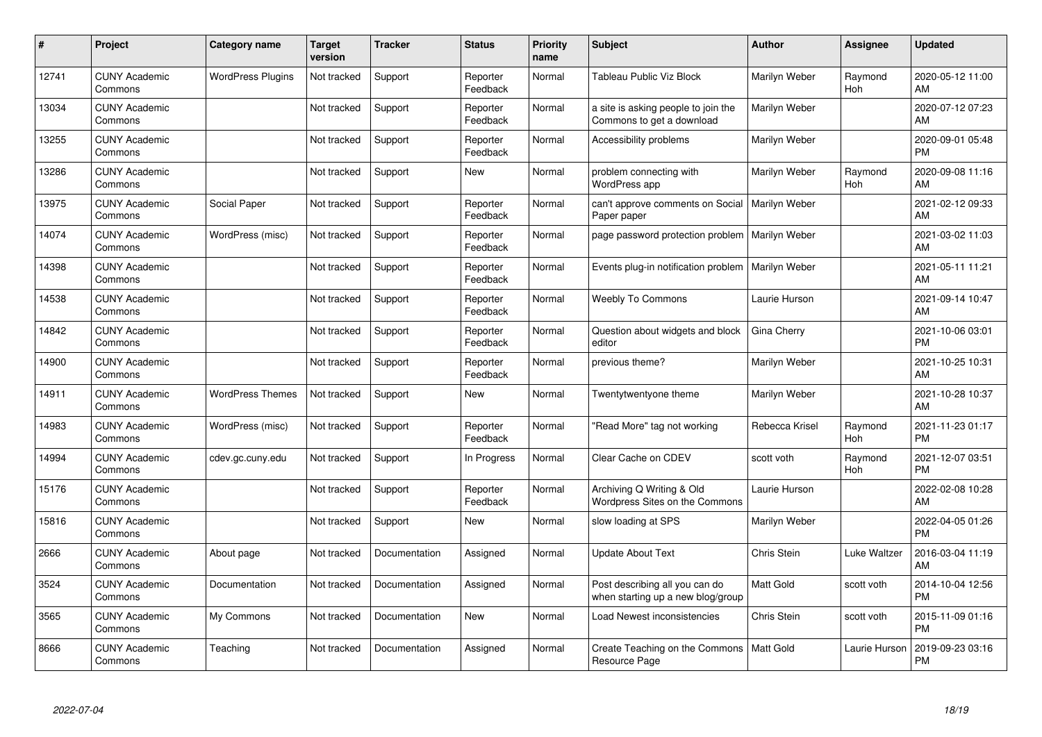| #     | Project                         | <b>Category name</b>     | <b>Target</b><br>version | <b>Tracker</b> | <b>Status</b>        | <b>Priority</b><br>name | <b>Subject</b>                                                      | <b>Author</b>    | <b>Assignee</b> | <b>Updated</b>                |
|-------|---------------------------------|--------------------------|--------------------------|----------------|----------------------|-------------------------|---------------------------------------------------------------------|------------------|-----------------|-------------------------------|
| 12741 | <b>CUNY Academic</b><br>Commons | <b>WordPress Plugins</b> | Not tracked              | Support        | Reporter<br>Feedback | Normal                  | Tableau Public Viz Block                                            | Marilyn Weber    | Raymond<br>Hoh  | 2020-05-12 11:00<br>AM        |
| 13034 | <b>CUNY Academic</b><br>Commons |                          | Not tracked              | Support        | Reporter<br>Feedback | Normal                  | a site is asking people to join the<br>Commons to get a download    | Marilyn Weber    |                 | 2020-07-12 07:23<br>AM        |
| 13255 | <b>CUNY Academic</b><br>Commons |                          | Not tracked              | Support        | Reporter<br>Feedback | Normal                  | Accessibility problems                                              | Marilyn Weber    |                 | 2020-09-01 05:48<br><b>PM</b> |
| 13286 | <b>CUNY Academic</b><br>Commons |                          | Not tracked              | Support        | <b>New</b>           | Normal                  | problem connecting with<br>WordPress app                            | Marilyn Weber    | Raymond<br>Hoh  | 2020-09-08 11:16<br>AM        |
| 13975 | <b>CUNY Academic</b><br>Commons | Social Paper             | Not tracked              | Support        | Reporter<br>Feedback | Normal                  | can't approve comments on Social<br>Paper paper                     | Marilyn Weber    |                 | 2021-02-12 09:33<br>AM        |
| 14074 | <b>CUNY Academic</b><br>Commons | WordPress (misc)         | Not tracked              | Support        | Reporter<br>Feedback | Normal                  | page password protection problem                                    | Marilyn Weber    |                 | 2021-03-02 11:03<br>AM        |
| 14398 | <b>CUNY Academic</b><br>Commons |                          | Not tracked              | Support        | Reporter<br>Feedback | Normal                  | Events plug-in notification problem                                 | Marilyn Weber    |                 | 2021-05-11 11:21<br>AM        |
| 14538 | <b>CUNY Academic</b><br>Commons |                          | Not tracked              | Support        | Reporter<br>Feedback | Normal                  | <b>Weebly To Commons</b>                                            | Laurie Hurson    |                 | 2021-09-14 10:47<br>AM        |
| 14842 | <b>CUNY Academic</b><br>Commons |                          | Not tracked              | Support        | Reporter<br>Feedback | Normal                  | Question about widgets and block<br>editor                          | Gina Cherry      |                 | 2021-10-06 03:01<br><b>PM</b> |
| 14900 | <b>CUNY Academic</b><br>Commons |                          | Not tracked              | Support        | Reporter<br>Feedback | Normal                  | previous theme?                                                     | Marilyn Weber    |                 | 2021-10-25 10:31<br>AM        |
| 14911 | <b>CUNY Academic</b><br>Commons | <b>WordPress Themes</b>  | Not tracked              | Support        | New                  | Normal                  | Twentytwentyone theme                                               | Marilyn Weber    |                 | 2021-10-28 10:37<br>AM        |
| 14983 | <b>CUNY Academic</b><br>Commons | WordPress (misc)         | Not tracked              | Support        | Reporter<br>Feedback | Normal                  | "Read More" tag not working                                         | Rebecca Krisel   | Raymond<br>Hoh  | 2021-11-23 01:17<br><b>PM</b> |
| 14994 | <b>CUNY Academic</b><br>Commons | cdev.gc.cuny.edu         | Not tracked              | Support        | In Progress          | Normal                  | Clear Cache on CDEV                                                 | scott voth       | Raymond<br>Hoh  | 2021-12-07 03:51<br><b>PM</b> |
| 15176 | <b>CUNY Academic</b><br>Commons |                          | Not tracked              | Support        | Reporter<br>Feedback | Normal                  | Archiving Q Writing & Old<br>Wordpress Sites on the Commons         | Laurie Hurson    |                 | 2022-02-08 10:28<br>AM        |
| 15816 | <b>CUNY Academic</b><br>Commons |                          | Not tracked              | Support        | New                  | Normal                  | slow loading at SPS                                                 | Marilyn Weber    |                 | 2022-04-05 01:26<br><b>PM</b> |
| 2666  | <b>CUNY Academic</b><br>Commons | About page               | Not tracked              | Documentation  | Assigned             | Normal                  | <b>Update About Text</b>                                            | Chris Stein      | Luke Waltzer    | 2016-03-04 11:19<br>AM        |
| 3524  | <b>CUNY Academic</b><br>Commons | Documentation            | Not tracked              | Documentation  | Assigned             | Normal                  | Post describing all you can do<br>when starting up a new blog/group | <b>Matt Gold</b> | scott voth      | 2014-10-04 12:56<br><b>PM</b> |
| 3565  | <b>CUNY Academic</b><br>Commons | My Commons               | Not tracked              | Documentation  | New                  | Normal                  | Load Newest inconsistencies                                         | Chris Stein      | scott voth      | 2015-11-09 01:16<br><b>PM</b> |
| 8666  | <b>CUNY Academic</b><br>Commons | Teaching                 | Not tracked              | Documentation  | Assigned             | Normal                  | Create Teaching on the Commons<br>Resource Page                     | <b>Matt Gold</b> | Laurie Hurson   | 2019-09-23 03:16<br><b>PM</b> |